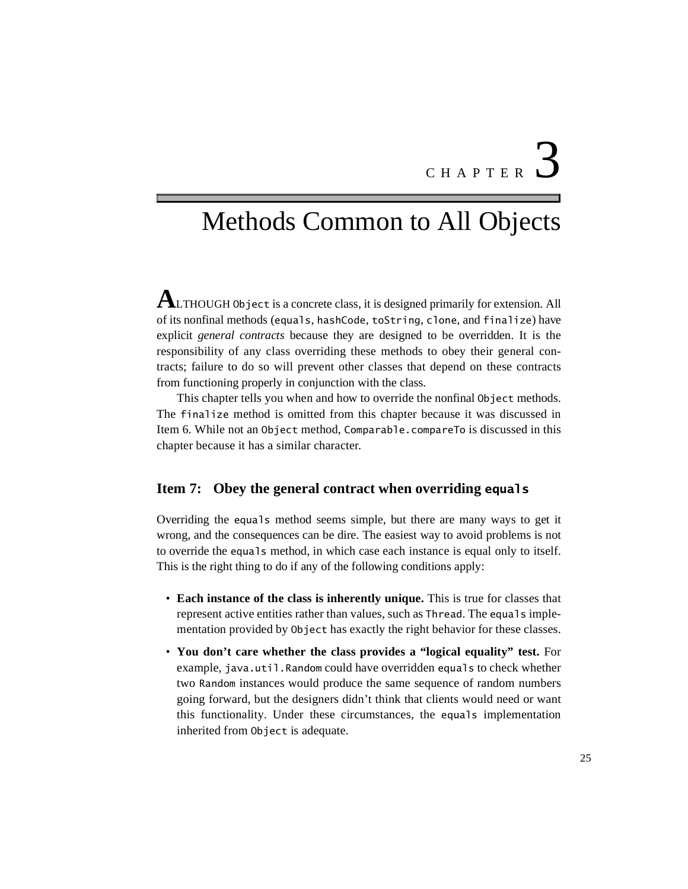# Methods Common to All Objects

**A**LTHOUGH Object is a concrete class, it is designed primarily for extension. All of its nonfinal methods (equals, hashCode, toString, clone, and finalize) have explicit *general contracts* because they are designed to be overridden. It is the responsibility of any class overriding these methods to obey their general contracts; failure to do so will prevent other classes that depend on these contracts from functioning properly in conjunction with the class.

This chapter tells you when and how to override the nonfinal Object methods. The finalize method is omitted from this chapter because it was discussed in Item 6. While not an Object method, Comparable.compareTo is discussed in this chapter because it has a similar character.

## <span id="page-0-0"></span>**Item 7: Obey the general contract when overriding equals**

Overriding the equals method seems simple, but there are many ways to get it wrong, and the consequences can be dire. The easiest way to avoid problems is not to override the equals method, in which case each instance is equal only to itself. This is the right thing to do if any of the following conditions apply:

- **Each instance of the class is inherently unique.** This is true for classes that represent active entities rather than values, such as Thread. The equals implementation provided by Object has exactly the right behavior for these classes.
- **You don't care whether the class provides a "logical equality" test.** For example, java.util.Random could have overridden equals to check whether two Random instances would produce the same sequence of random numbers going forward, but the designers didn't think that clients would need or want this functionality. Under these circumstances, the equals implementation inherited from Object is adequate.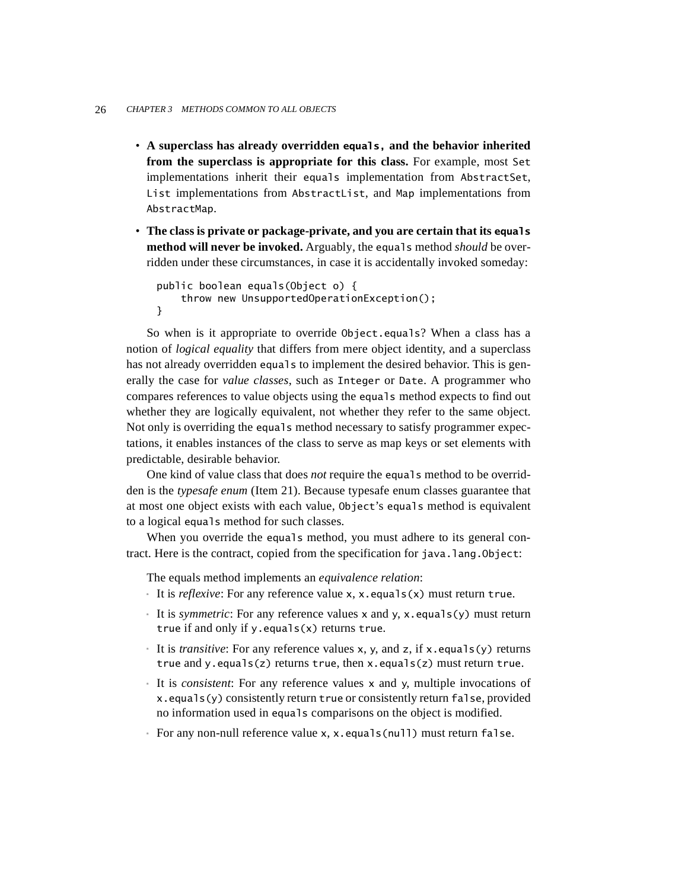- **A superclass has already overridden equals, and the behavior inherited from the superclass is appropriate for this class.** For example, most Set implementations inherit their equals implementation from AbstractSet, List implementations from AbstractList, and Map implementations from AbstractMap.
- **The class is private or package-private, and you are certain that its equals method will never be invoked.** Arguably, the equals method *should* be overridden under these circumstances, in case it is accidentally invoked someday:

```
public boolean equals(Object o) {
    throw new UnsupportedOperationException();
}
```
So when is it appropriate to override Object.equals? When a class has a notion of *logical equality* that differs from mere object identity, and a superclass has not already overridden equals to implement the desired behavior. This is generally the case for *value classes*, such as Integer or Date. A programmer who compares references to value objects using the equals method expects to find out whether they are logically equivalent, not whether they refer to the same object. Not only is overriding the equals method necessary to satisfy programmer expectations, it enables instances of the class to serve as map keys or set elements with predictable, desirable behavior.

One kind of value class that does *not* require the equals method to be overridden is the *typesafe enum* (Item 21). Because typesafe enum classes guarantee that at most one object exists with each value, Object's equals method is equivalent to a logical equals method for such classes.

When you override the equals method, you must adhere to its general contract. Here is the contract, copied from the specification for java.lang.Object:

The equals method implements an *equivalence relation*:

- It is *reflexive*: For any reference value  $x$ ,  $x$  equals( $x$ ) must return true.
- <sup>n</sup> It is *symmetric*: For any reference values x and y, x.equals(y) must return true if and only if  $y$ .equals $(x)$  returns true.
- <sup>n</sup> It is *transitive*: For any reference values x, y, and z, if x.equals(y) returns true and y.equals(z) returns true, then x.equals(z) must return true.
- <sup>n</sup> It is *consistent*: For any reference values x and y, multiple invocations of x.equals(y) consistently return true or consistently return false, provided no information used in equals comparisons on the object is modified.
- For any non-null reference value  $x$ ,  $x$  equals (null) must return false.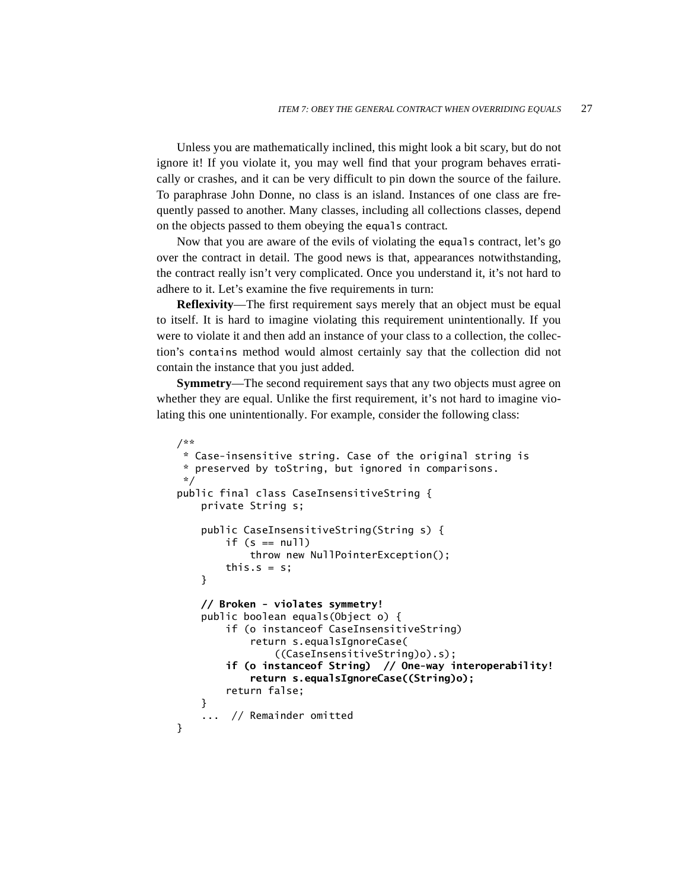Unless you are mathematically inclined, this might look a bit scary, but do not ignore it! If you violate it, you may well find that your program behaves erratically or crashes, and it can be very difficult to pin down the source of the failure. To paraphrase John Donne, no class is an island. Instances of one class are frequently passed to another. Many classes, including all collections classes, depend on the objects passed to them obeying the equals contract.

Now that you are aware of the evils of violating the equals contract, let's go over the contract in detail. The good news is that, appearances notwithstanding, the contract really isn't very complicated. Once you understand it, it's not hard to adhere to it. Let's examine the five requirements in turn:

**Reflexivity**—The first requirement says merely that an object must be equal to itself. It is hard to imagine violating this requirement unintentionally. If you were to violate it and then add an instance of your class to a collection, the collection's contains method would almost certainly say that the collection did not contain the instance that you just added.

**Symmetry**—The second requirement says that any two objects must agree on whether they are equal. Unlike the first requirement, it's not hard to imagine violating this one unintentionally. For example, consider the following class:

```
/**
 * Case-insensitive string. Case of the original string is
* preserved by toString, but ignored in comparisons.
*/
public final class CaseInsensitiveString {
    private String s;
    public CaseInsensitiveString(String s) {
        if (s == null)throw new NullPointerException();
        this.s = s;
    }
    // Broken - violates symmetry!
    public boolean equals(Object o) {
        if (o instanceof CaseInsensitiveString)
            return s.equalsIgnoreCase(
                ((CaseInsensitiveString)o).s);
        if (o instanceof String) // One-way interoperability!
            return s.equalsIgnoreCase((String)o);
        return false;
    }
    ... // Remainder omitted
}
```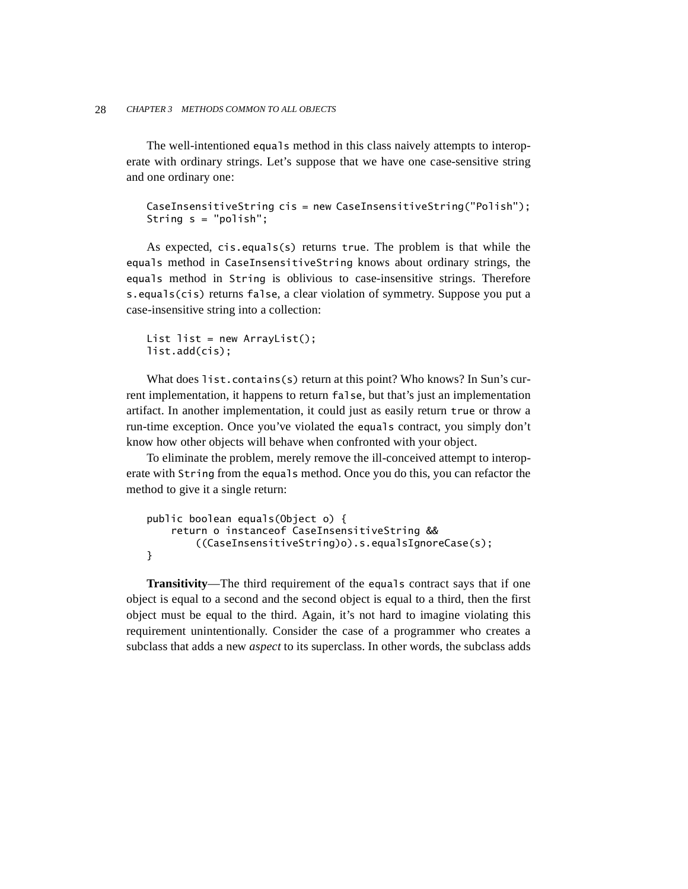The well-intentioned equals method in this class naively attempts to interoperate with ordinary strings. Let's suppose that we have one case-sensitive string and one ordinary one:

```
CaseInsensitiveString cis = new CaseInsensitiveString("Polish");
String s = "polish":
```
As expected,  $cis.$  equals(s) returns true. The problem is that while the equals method in CaseInsensitiveString knows about ordinary strings, the equals method in String is oblivious to case-insensitive strings. Therefore s.equals(cis) returns false, a clear violation of symmetry. Suppose you put a case-insensitive string into a collection:

```
List list = new ArrayList();
list.add(cis);
```
What does list.contains(s) return at this point? Who knows? In Sun's current implementation, it happens to return false, but that's just an implementation artifact. In another implementation, it could just as easily return true or throw a run-time exception. Once you've violated the equals contract, you simply don't know how other objects will behave when confronted with your object.

To eliminate the problem, merely remove the ill-conceived attempt to interoperate with String from the equals method. Once you do this, you can refactor the method to give it a single return:

```
public boolean equals(Object o) {
    return o instanceof CaseInsensitiveString &&
        ((CaseInsensitiveString)o).s.equalsIgnoreCase(s);
}
```
**Transitivity**—The third requirement of the equals contract says that if one object is equal to a second and the second object is equal to a third, then the first object must be equal to the third. Again, it's not hard to imagine violating this requirement unintentionally. Consider the case of a programmer who creates a subclass that adds a new *aspect* to its superclass. In other words, the subclass adds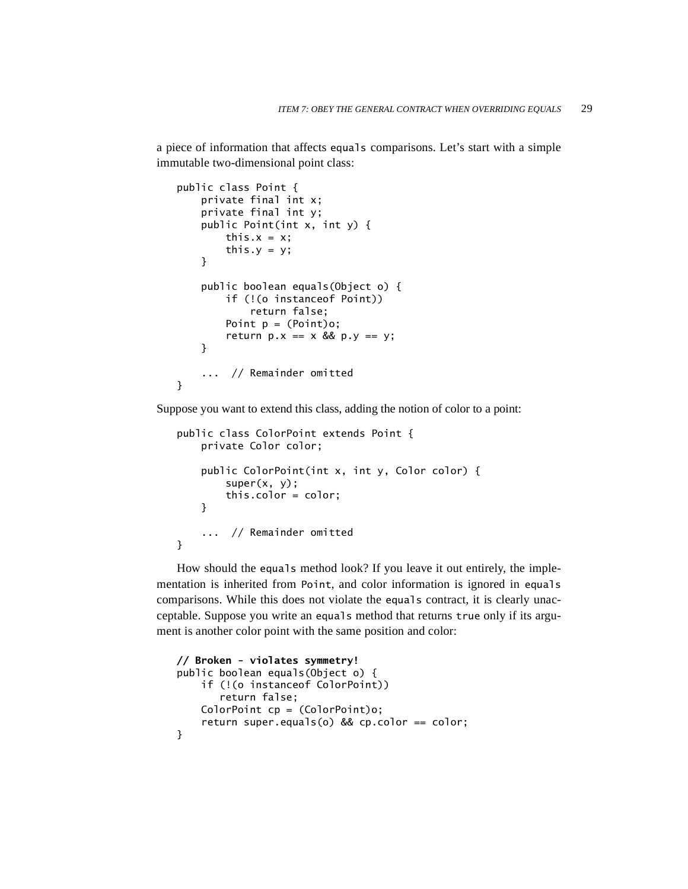a piece of information that affects equals comparisons. Let's start with a simple immutable two-dimensional point class:

```
public class Point {
    private final int x;
    private final int y;
    public Point(int x, int y) {
        this.x = x;
        this.y = y;
    }
    public boolean equals(Object o) {
        if (!(o instanceof Point))
            return false;
        Point p = (Point)o;
        return p.x == x \& p.y == y;}
    ... // Remainder omitted
}
```
Suppose you want to extend this class, adding the notion of color to a point:

```
public class ColorPoint extends Point {
    private Color color;
    public ColorPoint(int x, int y, Color color) {
        super(x, y);this.color = color;
    }
    ... // Remainder omitted
}
```
How should the equals method look? If you leave it out entirely, the implementation is inherited from Point, and color information is ignored in equals comparisons. While this does not violate the equals contract, it is clearly unacceptable. Suppose you write an equals method that returns true only if its argument is another color point with the same position and color:

```
// Broken - violates symmetry!
public boolean equals(Object o) {
    if (!(o instanceof ColorPoint))
       return false;
    ColorPoint cp = (ColorPoint)o;
    return super.equals(o) && cp.color == color;
}
```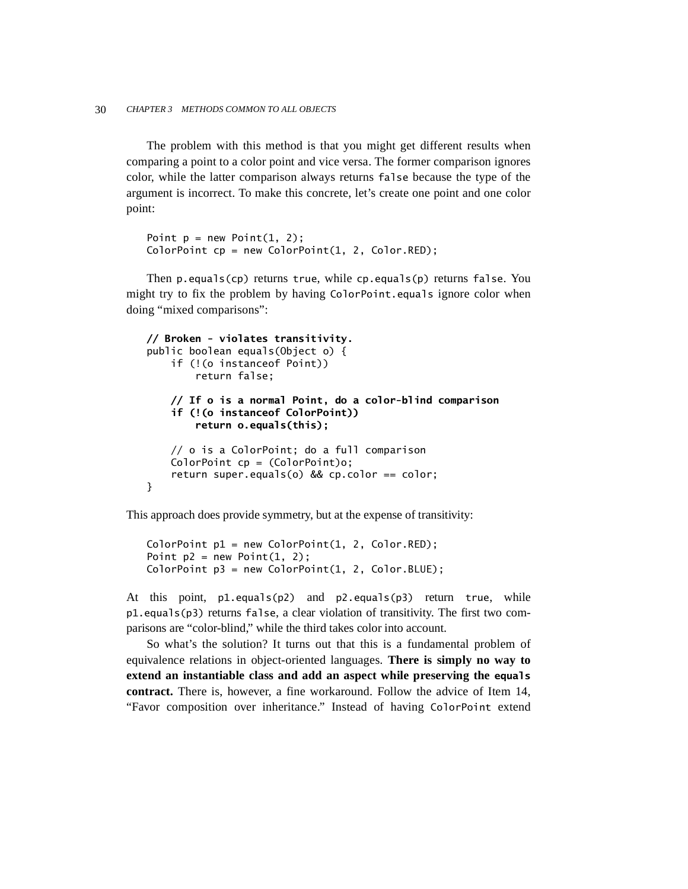The problem with this method is that you might get different results when comparing a point to a color point and vice versa. The former comparison ignores color, while the latter comparison always returns false because the type of the argument is incorrect. To make this concrete, let's create one point and one color point:

```
Point p = new Point(1, 2);
ColorPoint cp = new ColorPoint(1, 2, Color.RED);
```
Then p.equals(cp) returns true, while  $cp$ .equals(p) returns false. You might try to fix the problem by having ColorPoint.equals ignore color when doing "mixed comparisons":

```
// Broken - violates transitivity.
public boolean equals(Object o) {
    if (!(o instanceof Point))
        return false;
    // If o is a normal Point, do a color-blind comparison
    if (!(o instanceof ColorPoint))
        return o.equals(this);
    // o is a ColorPoint; do a full comparison
    ColorPoint cp = (ColorPoint)o;
    return super.equals(o) && cp.color == color;
}
```
This approach does provide symmetry, but at the expense of transitivity:

```
ColorPoint p1 = new ColorPoint(1, 2, Color.RED);Point p2 = new Point(1, 2);
ColorPoint p3 = new ColorPoint(1, 2, Color.BLUE);
```
At this point,  $p1.equals(p2)$  and  $p2.equals(p3)$  return true, while p1.equals(p3) returns false, a clear violation of transitivity. The first two comparisons are "color-blind," while the third takes color into account.

So what's the solution? It turns out that this is a fundamental problem of equivalence relations in object-oriented languages. **There is simply no way to extend an instantiable class and add an aspect while preserving the equals contract.** There is, however, a fine workaround. Follow the advice of Item 14, "Favor composition over inheritance." Instead of having ColorPoint extend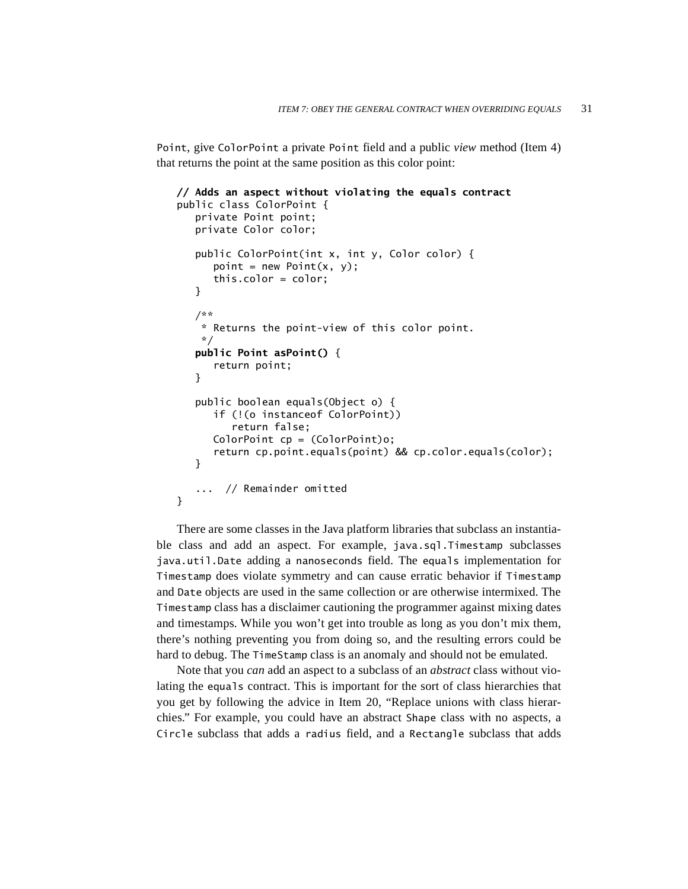Point, give ColorPoint a private Point field and a public *view* method (Item 4) that returns the point at the same position as this color point:

```
// Adds an aspect without violating the equals contract
public class ColorPoint {
   private Point point;
   private Color color;
   public ColorPoint(int x, int y, Color color) {
      point = new Point(x, y);
      this.color = color;
   }
   /**
    * Returns the point-view of this color point.
    */
   public Point asPoint() {
      return point;
   }
   public boolean equals(Object o) {
      if (!(o instanceof ColorPoint))
         return false;
      ColorPoint cp = (ColorPoint)o;
      return cp.point.equals(point) && cp.color.equals(color);
   }
   ... // Remainder omitted
}
```
There are some classes in the Java platform libraries that subclass an instantiable class and add an aspect. For example, java.sql.Timestamp subclasses java.util.Date adding a nanoseconds field. The equals implementation for Timestamp does violate symmetry and can cause erratic behavior if Timestamp and Date objects are used in the same collection or are otherwise intermixed. The Timestamp class has a disclaimer cautioning the programmer against mixing dates and timestamps. While you won't get into trouble as long as you don't mix them, there's nothing preventing you from doing so, and the resulting errors could be hard to debug. The TimeStamp class is an anomaly and should not be emulated.

Note that you *can* add an aspect to a subclass of an *abstract* class without violating the equals contract. This is important for the sort of class hierarchies that you get by following the advice in Item 20, "Replace unions with class hierarchies." For example, you could have an abstract Shape class with no aspects, a Circle subclass that adds a radius field, and a Rectangle subclass that adds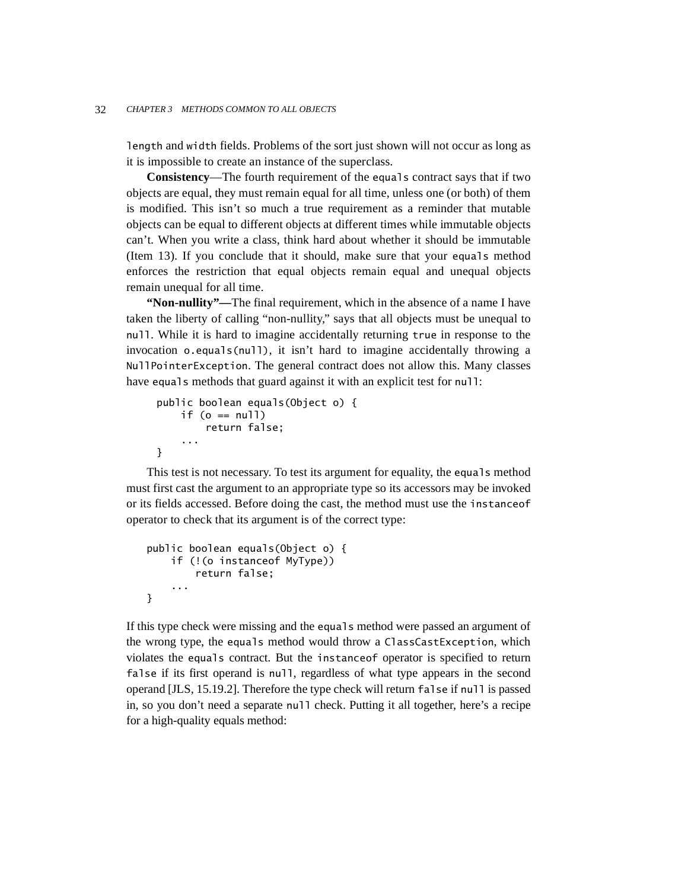length and width fields. Problems of the sort just shown will not occur as long as it is impossible to create an instance of the superclass.

**Consistency**—The fourth requirement of the equals contract says that if two objects are equal, they must remain equal for all time, unless one (or both) of them is modified. This isn't so much a true requirement as a reminder that mutable objects can be equal to different objects at different times while immutable objects can't. When you write a class, think hard about whether it should be immutable (Item 13). If you conclude that it should, make sure that your equals method enforces the restriction that equal objects remain equal and unequal objects remain unequal for all time.

**"Non-nullity"—**The final requirement, which in the absence of a name I have taken the liberty of calling "non-nullity," says that all objects must be unequal to null. While it is hard to imagine accidentally returning true in response to the invocation o.equals(null), it isn't hard to imagine accidentally throwing a NullPointerException. The general contract does not allow this. Many classes have equals methods that guard against it with an explicit test for null:

```
public boolean equals(Object o) {
    if (o == null)return false;
    ...
}
```
This test is not necessary. To test its argument for equality, the equals method must first cast the argument to an appropriate type so its accessors may be invoked or its fields accessed. Before doing the cast, the method must use the instanceof operator to check that its argument is of the correct type:

```
public boolean equals(Object o) {
    if (!(o instanceof MyType))
        return false;
    ...
}
```
If this type check were missing and the equals method were passed an argument of the wrong type, the equals method would throw a ClassCastException, which violates the equals contract. But the instanceof operator is specified to return false if its first operand is null, regardless of what type appears in the second operand [JLS, 15.19.2]. Therefore the type check will return false if null is passed in, so you don't need a separate null check. Putting it all together, here's a recipe for a high-quality equals method: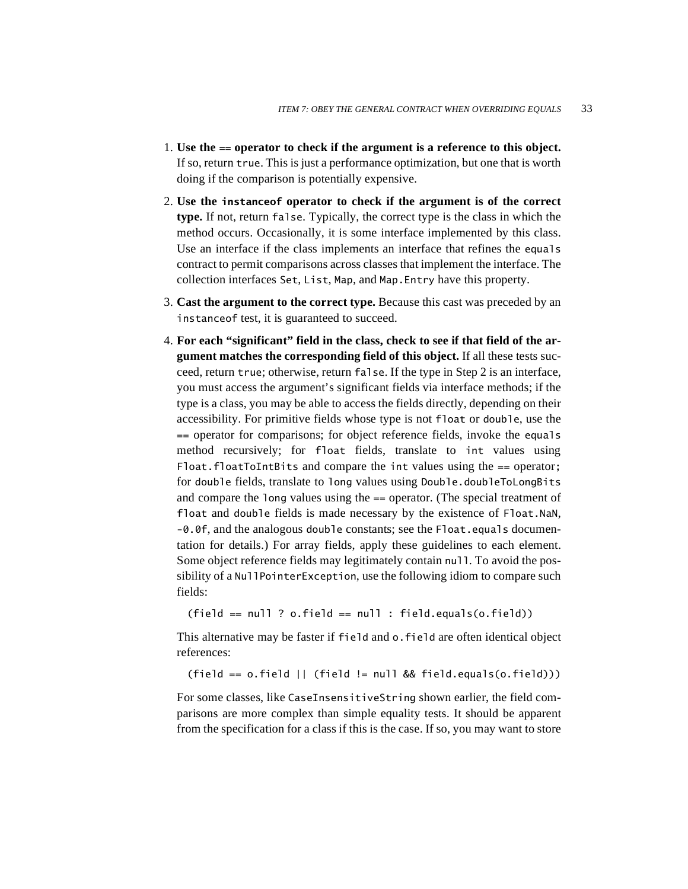- 1. **Use the == operator to check if the argument is a reference to this object.** If so, return true. This is just a performance optimization, but one that is worth doing if the comparison is potentially expensive.
- <span id="page-8-0"></span>2. **Use the instanceof operator to check if the argument is of the correct type.** If not, return false. Typically, the correct type is the class in which the method occurs. Occasionally, it is some interface implemented by this class. Use an interface if the class implements an interface that refines the equals contract to permit comparisons across classes that implement the interface. The collection interfaces Set, List, Map, and Map.Entry have this property.
- 3. **Cast the argument to the correct type.** Because this cast was preceded by an instanceof test, it is guaranteed to succeed.
- 4. **For each "significant" field in the class, check to see if that field of the argument matches the corresponding field of this object.** If all these tests succeed, return true; otherwise, return false. If the type in [Step 2](#page-8-0) is an interface, you must access the argument's significant fields via interface methods; if the type is a class, you may be able to access the fields directly, depending on their accessibility. For primitive fields whose type is not float or double, use the == operator for comparisons; for object reference fields, invoke the equals method recursively; for float fields, translate to int values using Float.floatToIntBits and compare the int values using the == operator; for double fields, translate to long values using Double.doubleToLongBits and compare the long values using the == operator. (The special treatment of float and double fields is made necessary by the existence of Float.NaN, -0.0f, and the analogous double constants; see the Float.equals documentation for details.) For array fields, apply these guidelines to each element. Some object reference fields may legitimately contain null. To avoid the possibility of a NullPointerException, use the following idiom to compare such fields:

$$
(field == null ? 0.fileId == null : field.equals(o.fileId))
$$

This alternative may be faster if field and o.field are often identical object references:

```
(field == o.field || (field != null & field.equals(o.field)))
```
For some classes, like CaseInsensitiveString shown earlier, the field comparisons are more complex than simple equality tests. It should be apparent from the specification for a class if this is the case. If so, you may want to store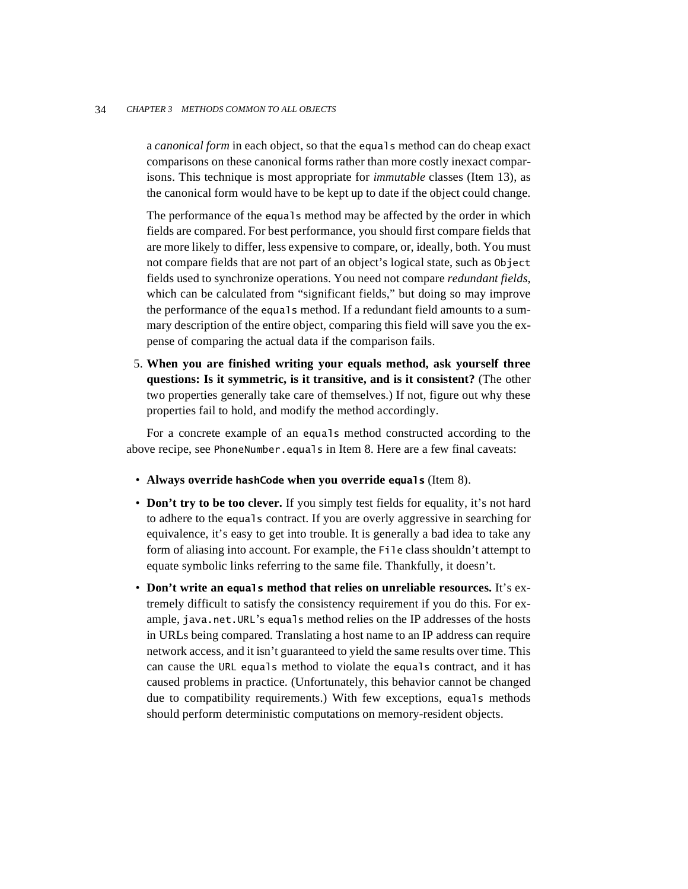a *canonical form* in each object, so that the equals method can do cheap exact comparisons on these canonical forms rather than more costly inexact comparisons. This technique is most appropriate for *immutable* classes (Item 13), as the canonical form would have to be kept up to date if the object could change.

The performance of the equals method may be affected by the order in which fields are compared. For best performance, you should first compare fields that are more likely to differ, less expensive to compare, or, ideally, both. You must not compare fields that are not part of an object's logical state, such as Object fields used to synchronize operations. You need not compare *redundant fields*, which can be calculated from "significant fields," but doing so may improve the performance of the equals method. If a redundant field amounts to a summary description of the entire object, comparing this field will save you the expense of comparing the actual data if the comparison fails.

5. **When you are finished writing your equals method, ask yourself three questions: Is it symmetric, is it transitive, and is it consistent?** (The other two properties generally take care of themselves.) If not, figure out why these properties fail to hold, and modify the method accordingly.

For a concrete example of an equals method constructed according to the above recipe, see PhoneNumber.equals in [Item 8.](#page-11-0) Here are a few final caveats:

- **Always override hashCode when you override equals** ([Item 8\)](#page-11-0).
- **Don't try to be too clever.** If you simply test fields for equality, it's not hard to adhere to the equals contract. If you are overly aggressive in searching for equivalence, it's easy to get into trouble. It is generally a bad idea to take any form of aliasing into account. For example, the File class shouldn't attempt to equate symbolic links referring to the same file. Thankfully, it doesn't.
- **Don't write an equals method that relies on unreliable resources.** It's extremely difficult to satisfy the consistency requirement if you do this. For example, java.net.URL's equals method relies on the IP addresses of the hosts in URLs being compared. Translating a host name to an IP address can require network access, and it isn't guaranteed to yield the same results over time. This can cause the URL equals method to violate the equals contract, and it has caused problems in practice. (Unfortunately, this behavior cannot be changed due to compatibility requirements.) With few exceptions, equals methods should perform deterministic computations on memory-resident objects.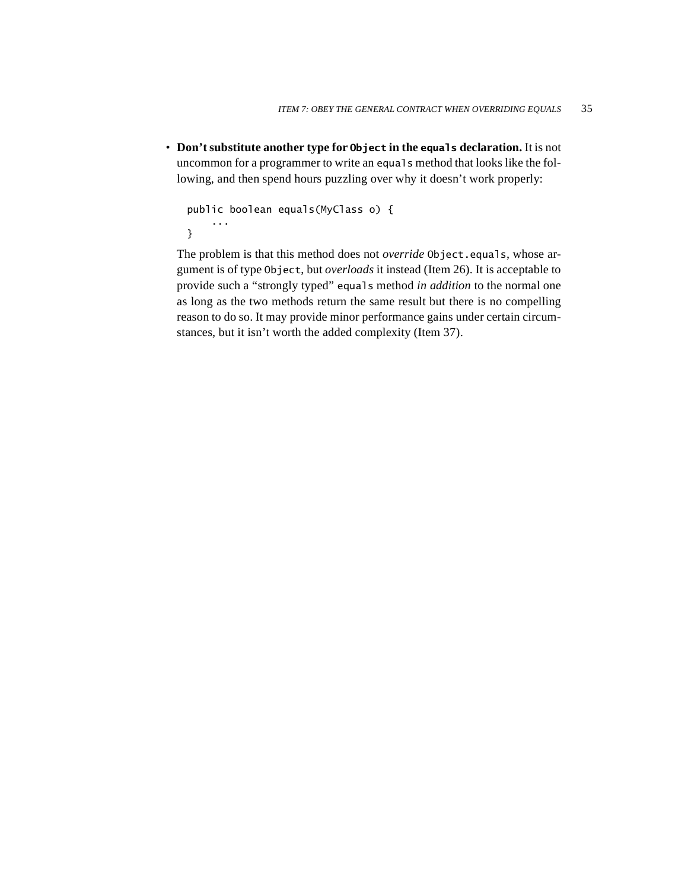• **Don't substitute another type for Object in the equals declaration.** It is not uncommon for a programmer to write an equals method that looks like the following, and then spend hours puzzling over why it doesn't work properly:

```
public boolean equals(MyClass o) {
    ...
}
```
The problem is that this method does not *override* Object.equals, whose argument is of type Object, but *overloads* it instead (Item 26). It is acceptable to provide such a "strongly typed" equals method *in addition* to the normal one as long as the two methods return the same result but there is no compelling reason to do so. It may provide minor performance gains under certain circumstances, but it isn't worth the added complexity (Item 37).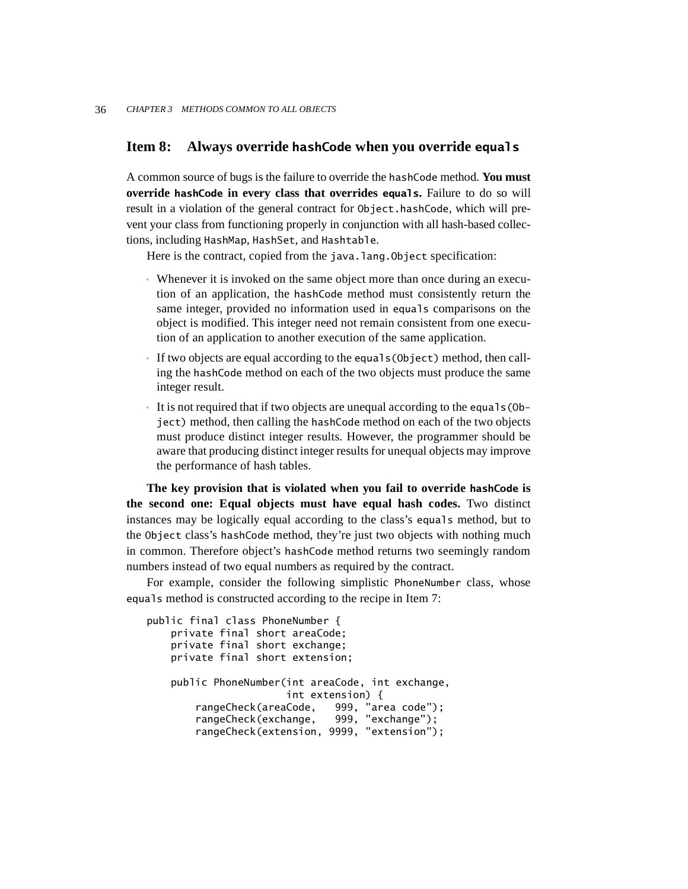### <span id="page-11-0"></span>**Item 8: Always override hashCode when you override equals**

A common source of bugs is the failure to override the hashCode method. **You must override hashCode in every class that overrides equals.** Failure to do so will result in a violation of the general contract for Object.hashCode, which will prevent your class from functioning properly in conjunction with all hash-based collections, including HashMap, HashSet, and Hashtable.

Here is the contract, copied from the java.lang.Object specification:

- <sup>n</sup> Whenever it is invoked on the same object more than once during an execution of an application, the hashCode method must consistently return the same integer, provided no information used in equals comparisons on the object is modified. This integer need not remain consistent from one execution of an application to another execution of the same application.
- If two objects are equal according to the equals (Object) method, then calling the hashCode method on each of the two objects must produce the same integer result.
- It is not required that if two objects are unequal according to the equals (0bject) method, then calling the hashCode method on each of the two objects must produce distinct integer results. However, the programmer should be aware that producing distinct integer results for unequal objects may improve the performance of hash tables.

**The key provision that is violated when you fail to override hashCode is the second one: Equal objects must have equal hash codes.** Two distinct instances may be logically equal according to the class's equals method, but to the Object class's hashCode method, they're just two objects with nothing much in common. Therefore object's hashCode method returns two seemingly random numbers instead of two equal numbers as required by the contract.

For example, consider the following simplistic PhoneNumber class, whose equals method is constructed according to the recipe in [Item 7:](#page-0-0)

```
public final class PhoneNumber {
    private final short areaCode;
    private final short exchange;
    private final short extension;
    public PhoneNumber(int areaCode, int exchange, 
                       int extension) {
        rangeCheck(areaCode, 999, "area code");
        rangeCheck(exchange,
        rangeCheck(extension, 9999, "extension");
```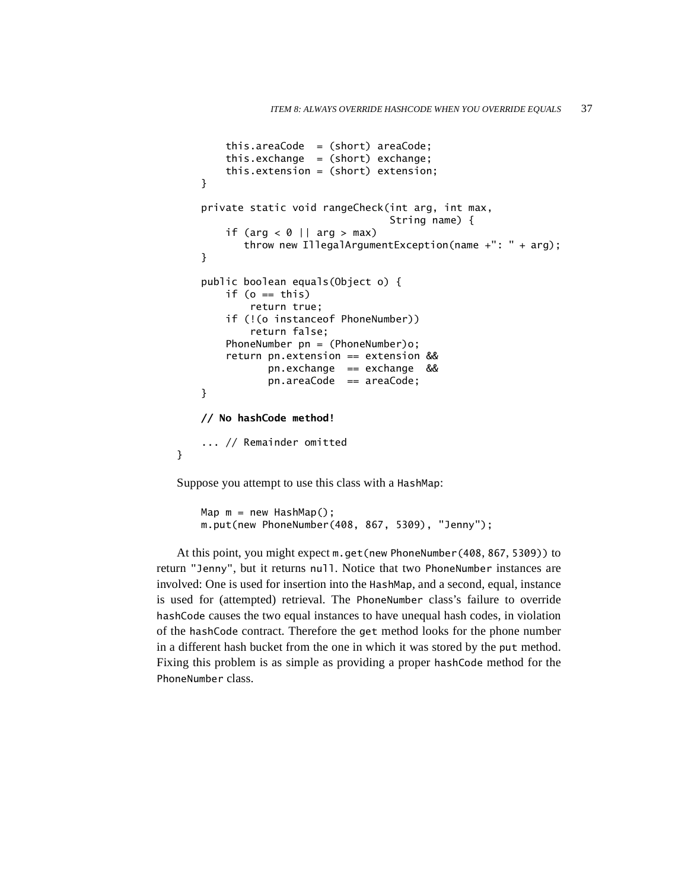```
this areaCode = (short) areaCode;this.exchange = (short) exchange;
    this.extension = (short) extension;
}
private static void rangeCheck(int arg, int max,
                               String name) {
    if (arg < 0 || arg > max)
       throw new IllegalArgumentException(name +": " + arg);
}
public boolean equals(Object o) {
    if (o == this)
        return true;
    if (!(o instanceof PhoneNumber))
        return false;
    PhoneNumber pn = (PhoneNumber)o;
    return pn.extension == extension &&
           pn.exchange == exchange &&
           pn.areaCode == areaCode;
}
// No hashCode method!
... // Remainder omitted
```
Suppose you attempt to use this class with a HashMap:

}

```
Map m = new HashMap();
m.put(new PhoneNumber(408, 867, 5309), "Jenny");
```
At this point, you might expect m.get(new PhoneNumber(408, 867, 5309)) to return "Jenny", but it returns null. Notice that two PhoneNumber instances are involved: One is used for insertion into the HashMap, and a second, equal, instance is used for (attempted) retrieval. The PhoneNumber class's failure to override hashCode causes the two equal instances to have unequal hash codes, in violation of the hashCode contract. Therefore the get method looks for the phone number in a different hash bucket from the one in which it was stored by the put method. Fixing this problem is as simple as providing a proper hashCode method for the PhoneNumber class.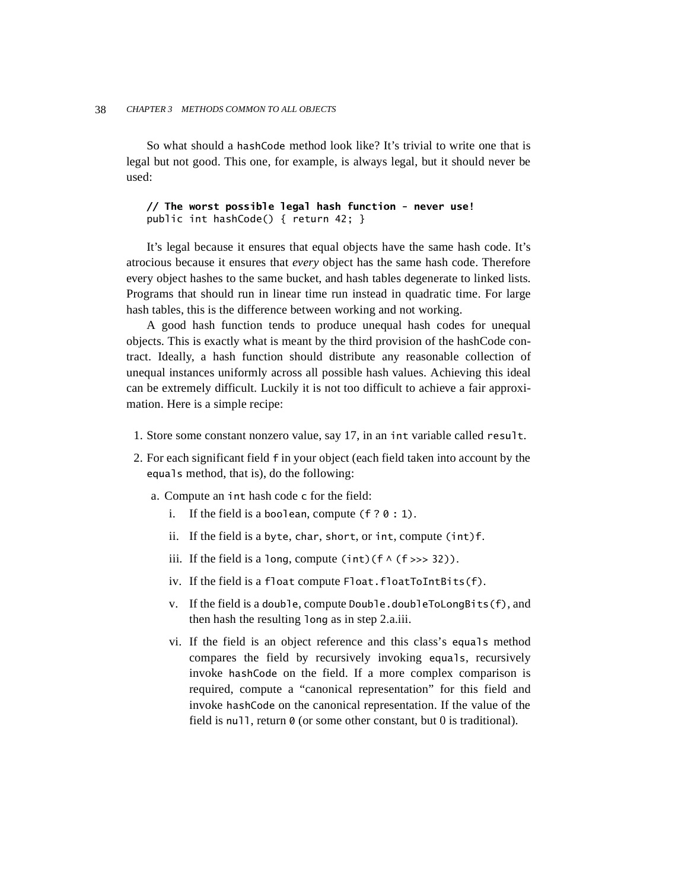So what should a hashCode method look like? It's trivial to write one that is legal but not good. This one, for example, is always legal, but it should never be used:

**// The worst possible legal hash function - never use!** public int hashCode() { return 42; }

It's legal because it ensures that equal objects have the same hash code. It's atrocious because it ensures that *every* object has the same hash code. Therefore every object hashes to the same bucket, and hash tables degenerate to linked lists. Programs that should run in linear time run instead in quadratic time. For large hash tables, this is the difference between working and not working.

A good hash function tends to produce unequal hash codes for unequal objects. This is exactly what is meant by the third provision of the hashCode contract. Ideally, a hash function should distribute any reasonable collection of unequal instances uniformly across all possible hash values. Achieving this ideal can be extremely difficult. Luckily it is not too difficult to achieve a fair approximation. Here is a simple recipe:

- 1. Store some constant nonzero value, say 17, in an int variable called result.
- <span id="page-13-0"></span>2. For each significant field f in your object (each field taken into account by the equals method, that is), do the following:
	- a. Compute an int hash code c for the field:
		- i. If the field is a boolean, compute  $(f ? 0 : 1)$ .
		- ii. If the field is a byte, char, short, or int, compute (int)f.
		- iii. If the field is a long, compute (int)( $f \wedge (f \rightarrow 32)$ ).
		- iv. If the field is a float compute Float.floatToIntBits(f).
		- v. If the field is a double, compute Double.doubleToLongBits(f), and then hash the resulting long as in step 2.a[.iii.](#page-13-0)
		- vi. If the field is an object reference and this class's equals method compares the field by recursively invoking equals, recursively invoke hashCode on the field. If a more complex comparison is required, compute a "canonical representation" for this field and invoke hashCode on the canonical representation. If the value of the field is null, return  $\theta$  (or some other constant, but 0 is traditional).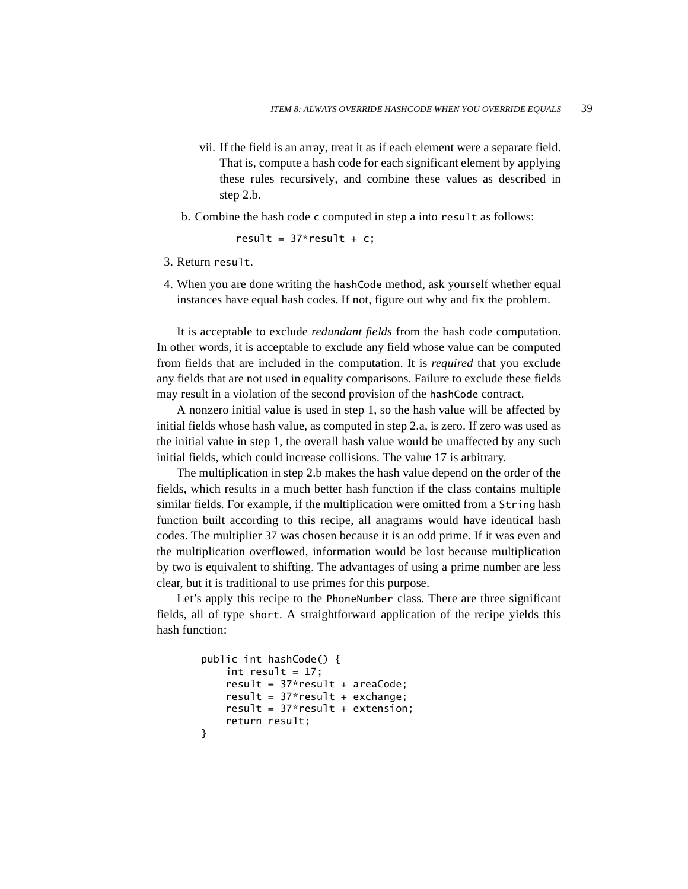- vii. If the field is an array, treat it as if each element were a separate field. That is, compute a hash code for each significant element by applying these rules recursively, and combine these values as described in step 2.b.
- b. Combine the hash code c computed in step a into result as follows:

result =  $37*$ result + c;

- 3. Return result.
- 4. When you are done writing the hashCode method, ask yourself whether equal instances have equal hash codes. If not, figure out why and fix the problem.

It is acceptable to exclude *redundant fields* from the hash code computation. In other words, it is acceptable to exclude any field whose value can be computed from fields that are included in the computation. It is *required* that you exclude any fields that are not used in equality comparisons. Failure to exclude these fields may result in a violation of the second provision of the hashCode contract.

A nonzero initial value is used in step 1, so the hash value will be affected by initial fields whose hash value, as computed in step 2.a, is zero. If zero was used as the initial value in step 1, the overall hash value would be unaffected by any such initial fields, which could increase collisions. The value 17 is arbitrary.

The multiplication in step 2.b makes the hash value depend on the order of the fields, which results in a much better hash function if the class contains multiple similar fields. For example, if the multiplication were omitted from a String hash function built according to this recipe, all anagrams would have identical hash codes. The multiplier 37 was chosen because it is an odd prime. If it was even and the multiplication overflowed, information would be lost because multiplication by two is equivalent to shifting. The advantages of using a prime number are less clear, but it is traditional to use primes for this purpose.

Let's apply this recipe to the PhoneNumber class. There are three significant fields, all of type short. A straightforward application of the recipe yields this hash function:

```
public int hashCode() {
    int result = 17;
    result = 37*result + areaCode;
    result = 37*result + exchange;
    result = 37*result + extension;
    return result;
}
```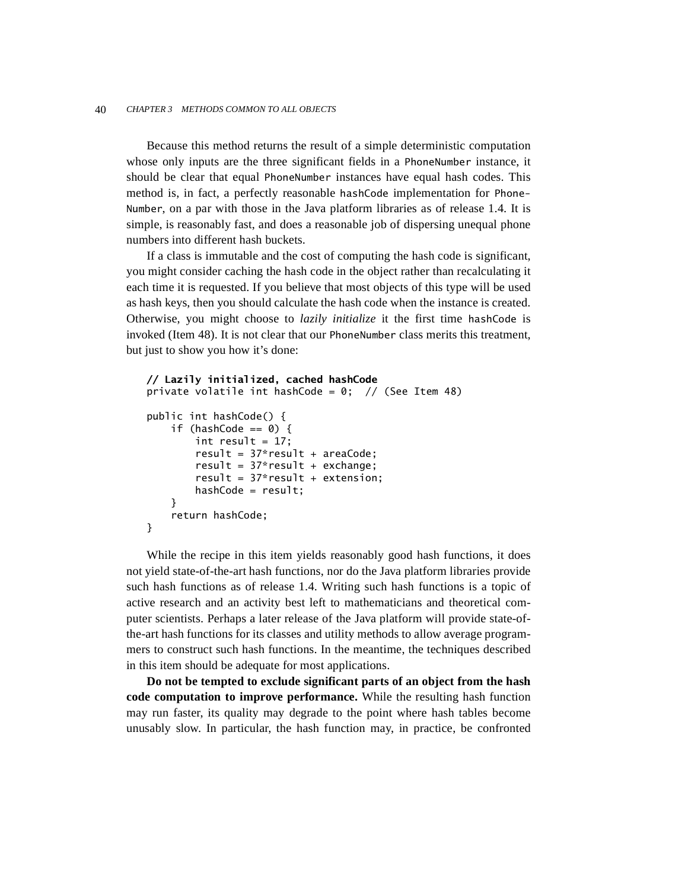Because this method returns the result of a simple deterministic computation whose only inputs are the three significant fields in a PhoneNumber instance, it should be clear that equal PhoneNumber instances have equal hash codes. This method is, in fact, a perfectly reasonable hashCode implementation for Phone-Number, on a par with those in the Java platform libraries as of release 1.4. It is simple, is reasonably fast, and does a reasonable job of dispersing unequal phone numbers into different hash buckets.

If a class is immutable and the cost of computing the hash code is significant, you might consider caching the hash code in the object rather than recalculating it each time it is requested. If you believe that most objects of this type will be used as hash keys, then you should calculate the hash code when the instance is created. Otherwise, you might choose to *lazily initialize* it the first time hashCode is invoked (Item 48). It is not clear that our PhoneNumber class merits this treatment, but just to show you how it's done:

```
// Lazily initialized, cached hashCode
private volatile int hashCode = 0; // (See Item 48)
public int hashCode() {
    if (hashCode == 0) {
        int result = 17;
        result = 37*result + areaCode;
        result = 37*result + exchange;
        result = 37*result + extension;
        hashCode = result;
    }
    return hashCode;
}
```
While the recipe in this item yields reasonably good hash functions, it does not yield state-of-the-art hash functions, nor do the Java platform libraries provide such hash functions as of release 1.4. Writing such hash functions is a topic of active research and an activity best left to mathematicians and theoretical computer scientists. Perhaps a later release of the Java platform will provide state-ofthe-art hash functions for its classes and utility methods to allow average programmers to construct such hash functions. In the meantime, the techniques described in this item should be adequate for most applications.

**Do not be tempted to exclude significant parts of an object from the hash code computation to improve performance.** While the resulting hash function may run faster, its quality may degrade to the point where hash tables become unusably slow. In particular, the hash function may, in practice, be confronted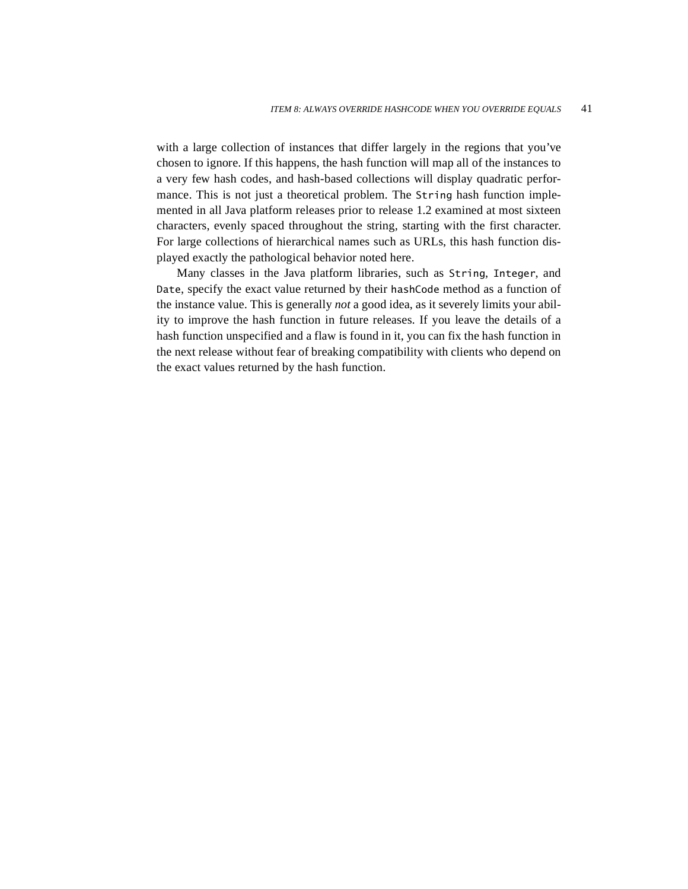with a large collection of instances that differ largely in the regions that you've chosen to ignore. If this happens, the hash function will map all of the instances to a very few hash codes, and hash-based collections will display quadratic performance. This is not just a theoretical problem. The String hash function implemented in all Java platform releases prior to release 1.2 examined at most sixteen characters, evenly spaced throughout the string, starting with the first character. For large collections of hierarchical names such as URLs, this hash function displayed exactly the pathological behavior noted here.

Many classes in the Java platform libraries, such as String, Integer, and Date, specify the exact value returned by their hashCode method as a function of the instance value. This is generally *not* a good idea, as it severely limits your ability to improve the hash function in future releases. If you leave the details of a hash function unspecified and a flaw is found in it, you can fix the hash function in the next release without fear of breaking compatibility with clients who depend on the exact values returned by the hash function.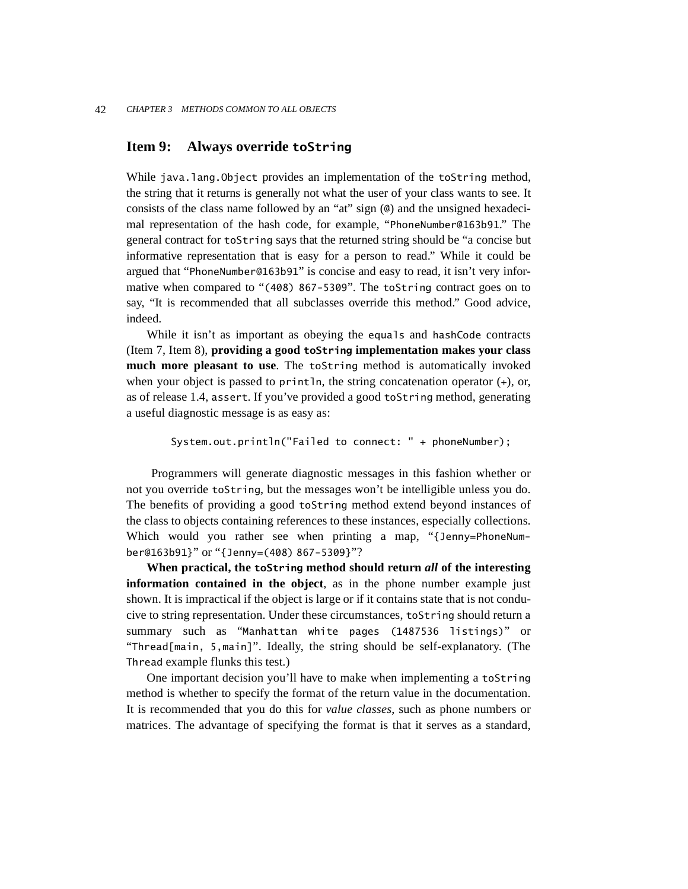### **Item 9: Always override toString**

While java.lang.Object provides an implementation of the toString method, the string that it returns is generally not what the user of your class wants to see. It consists of the class name followed by an "at" sign (@) and the unsigned hexadecimal representation of the hash code, for example, "PhoneNumber@163b91." The general contract for toString says that the returned string should be "a concise but informative representation that is easy for a person to read." While it could be argued that "PhoneNumber@163b91" is concise and easy to read, it isn't very informative when compared to "(408) 867-5309". The toString contract goes on to say, "It is recommended that all subclasses override this method." Good advice, indeed.

While it isn't as important as obeying the equals and hashCode contracts [\(Item 7,](#page-0-0) [Item 8\)](#page-11-0), **providing a good toString implementation makes your class much more pleasant to use**. The toString method is automatically invoked when your object is passed to println, the string concatenation operator  $(+)$ , or, as of release 1.4, assert. If you've provided a good toString method, generating a useful diagnostic message is as easy as:

```
System.out.println("Failed to connect: " + phoneNumber);
```
 Programmers will generate diagnostic messages in this fashion whether or not you override toString, but the messages won't be intelligible unless you do. The benefits of providing a good toString method extend beyond instances of the class to objects containing references to these instances, especially collections. Which would you rather see when printing a map, "{Jenny=PhoneNumber@163b91}" or "{Jenny=(408) 867-5309}"?

**When practical, the toString method should return** *all* **of the interesting information contained in the object**, as in the phone number example just shown. It is impractical if the object is large or if it contains state that is not conducive to string representation. Under these circumstances, toString should return a summary such as "Manhattan white pages (1487536 listings)" or "Thread[main, 5,main]". Ideally, the string should be self-explanatory. (The Thread example flunks this test.)

One important decision you'll have to make when implementing a toString method is whether to specify the format of the return value in the documentation. It is recommended that you do this for *value classes*, such as phone numbers or matrices. The advantage of specifying the format is that it serves as a standard,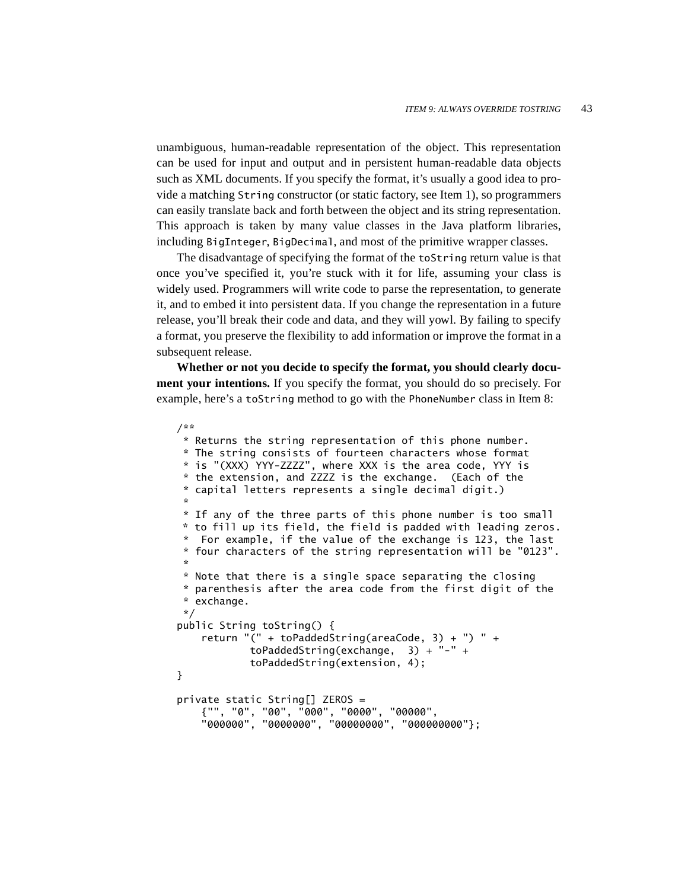unambiguous, human-readable representation of the object. This representation can be used for input and output and in persistent human-readable data objects such as XML documents. If you specify the format, it's usually a good idea to provide a matching String constructor (or static factory, see Item 1), so programmers can easily translate back and forth between the object and its string representation. This approach is taken by many value classes in the Java platform libraries, including BigInteger, BigDecimal, and most of the primitive wrapper classes.

The disadvantage of specifying the format of the toString return value is that once you've specified it, you're stuck with it for life, assuming your class is widely used. Programmers will write code to parse the representation, to generate it, and to embed it into persistent data. If you change the representation in a future release, you'll break their code and data, and they will yowl. By failing to specify a format, you preserve the flexibility to add information or improve the format in a subsequent release.

**Whether or not you decide to specify the format, you should clearly document your intentions.** If you specify the format, you should do so precisely. For example, here's a toString method to go with the PhoneNumber class in [Item 8:](#page-11-0)

```
/**
  * Returns the string representation of this phone number.
 * The string consists of fourteen characters whose format
 * is "(XXX) YYY-ZZZZ", where XXX is the area code, YYY is
 * the extension, and ZZZZ is the exchange. (Each of the
 * capital letters represents a single decimal digit.)
 *
 * If any of the three parts of this phone number is too small
 * to fill up its field, the field is padded with leading zeros.
 * For example, if the value of the exchange is 123, the last
 * four characters of the string representation will be "0123".
 *
 * Note that there is a single space separating the closing
 * parenthesis after the area code from the first digit of the
 * exchange.
  */
public String toString() {
    return "(" + toPaddedString(areaCode, 3) + ") " +
            toPaddedString(exchange, 3) + "-" +
            toPaddedString(extension, 4);
}
private static String[] ZEROS =
    {"", "0", "00", "000", "0000", "00000", 
    "000000", "0000000", "00000000", "000000000"};
```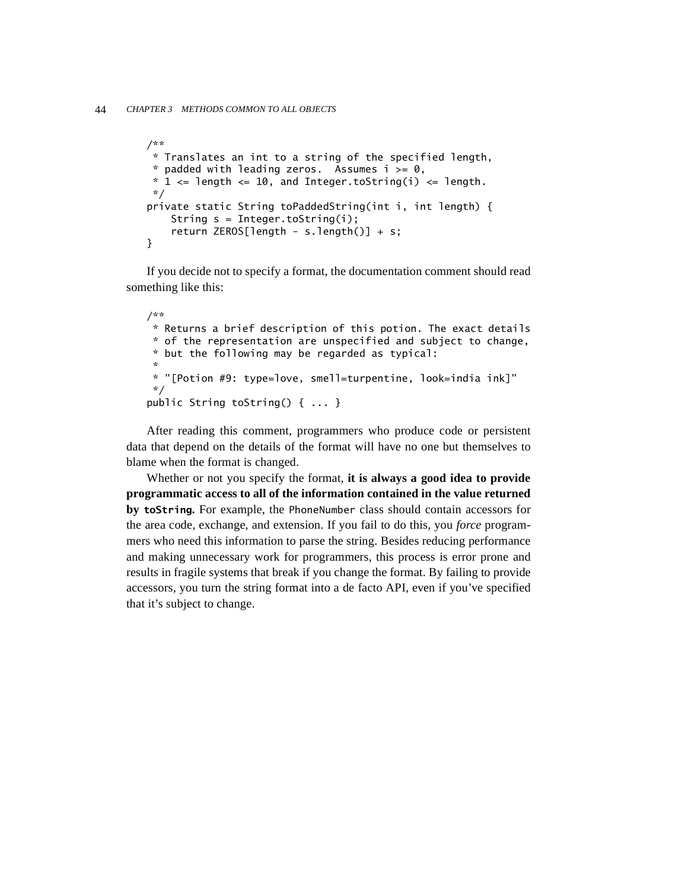```
/**
  * Translates an int to a string of the specified length,
 * padded with leading zeros. Assumes i >= 0,
 * 1 \leq length \leq 10, and Integer.toString(i) \leq length.
  */
private static String toPaddedString(int i, int length) {
    String s = Integer.toString(i);return ZEROS[length - s.length()] + s;
}
```
If you decide not to specify a format, the documentation comment should read something like this:

```
/**
 * Returns a brief description of this potion. The exact details
* of the representation are unspecified and subject to change,
* but the following may be regarded as typical:
 *
 * "[Potion #9: type=love, smell=turpentine, look=india ink]"
*/
public String toString() { ... }
```
After reading this comment, programmers who produce code or persistent data that depend on the details of the format will have no one but themselves to blame when the format is changed.

Whether or not you specify the format, **it is always a good idea to provide programmatic access to all of the information contained in the value returned by toString.** For example, the PhoneNumber class should contain accessors for the area code, exchange, and extension. If you fail to do this, you *force* programmers who need this information to parse the string. Besides reducing performance and making unnecessary work for programmers, this process is error prone and results in fragile systems that break if you change the format. By failing to provide accessors, you turn the string format into a de facto API, even if you've specified that it's subject to change.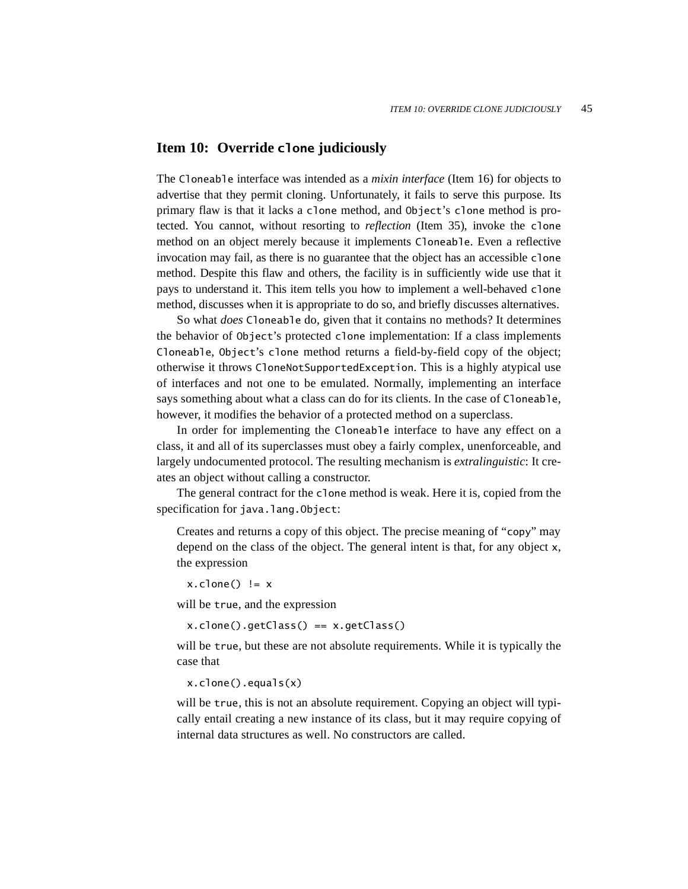#### **Item 10: Override clone judiciously**

The Cloneable interface was intended as a *mixin interface* (Item 16) for objects to advertise that they permit cloning. Unfortunately, it fails to serve this purpose. Its primary flaw is that it lacks a clone method, and Object's clone method is protected. You cannot, without resorting to *reflection* (Item 35), invoke the clone method on an object merely because it implements Cloneable. Even a reflective invocation may fail, as there is no guarantee that the object has an accessible clone method. Despite this flaw and others, the facility is in sufficiently wide use that it pays to understand it. This item tells you how to implement a well-behaved clone method, discusses when it is appropriate to do so, and briefly discusses alternatives.

So what *does* Cloneable do, given that it contains no methods? It determines the behavior of Object's protected clone implementation: If a class implements Cloneable, Object's clone method returns a field-by-field copy of the object; otherwise it throws CloneNotSupportedException. This is a highly atypical use of interfaces and not one to be emulated. Normally, implementing an interface says something about what a class can do for its clients. In the case of Cloneable, however, it modifies the behavior of a protected method on a superclass.

In order for implementing the Cloneable interface to have any effect on a class, it and all of its superclasses must obey a fairly complex, unenforceable, and largely undocumented protocol. The resulting mechanism is *extralinguistic*: It creates an object without calling a constructor.

The general contract for the clone method is weak. Here it is, copied from the specification for java.lang.Object:

Creates and returns a copy of this object. The precise meaning of "copy" may depend on the class of the object. The general intent is that, for any object x, the expression

```
x.clone() != x
```
will be true, and the expression

x.clone().getClass() == x.getClass()

will be true, but these are not absolute requirements. While it is typically the case that

```
x.clone().equals(x)
```
will be true, this is not an absolute requirement. Copying an object will typically entail creating a new instance of its class, but it may require copying of internal data structures as well. No constructors are called.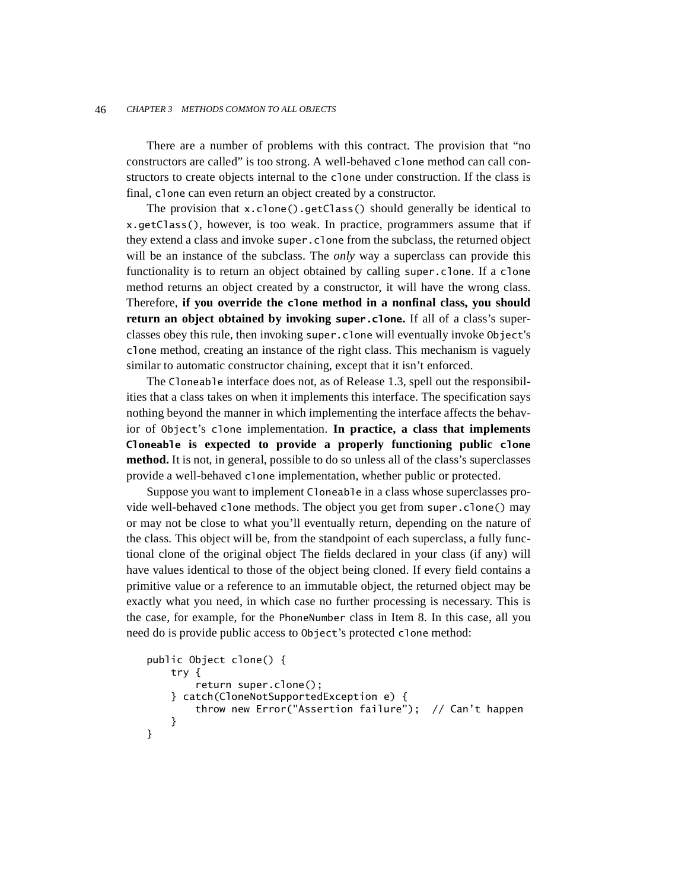There are a number of problems with this contract. The provision that "no constructors are called" is too strong. A well-behaved clone method can call constructors to create objects internal to the clone under construction. If the class is final, clone can even return an object created by a constructor.

The provision that  $x$ .clone().getClass() should generally be identical to x.getClass(), however, is too weak. In practice, programmers assume that if they extend a class and invoke super.clone from the subclass, the returned object will be an instance of the subclass. The *only* way a superclass can provide this functionality is to return an object obtained by calling super.clone. If a clone method returns an object created by a constructor, it will have the wrong class. Therefore, **if you override the clone method in a nonfinal class, you should return an object obtained by invoking super.clone.** If all of a class's superclasses obey this rule, then invoking super.clone will eventually invoke Object's clone method, creating an instance of the right class. This mechanism is vaguely similar to automatic constructor chaining, except that it isn't enforced.

The Cloneable interface does not, as of Release 1.3, spell out the responsibilities that a class takes on when it implements this interface. The specification says nothing beyond the manner in which implementing the interface affects the behavior of Object's clone implementation. **In practice, a class that implements Cloneable is expected to provide a properly functioning public clone method.** It is not, in general, possible to do so unless all of the class's superclasses provide a well-behaved clone implementation, whether public or protected.

Suppose you want to implement Cloneable in a class whose superclasses provide well-behaved clone methods. The object you get from super.clone() may or may not be close to what you'll eventually return, depending on the nature of the class. This object will be, from the standpoint of each superclass, a fully functional clone of the original object The fields declared in your class (if any) will have values identical to those of the object being cloned. If every field contains a primitive value or a reference to an immutable object, the returned object may be exactly what you need, in which case no further processing is necessary. This is the case, for example, for the PhoneNumber class in [Item 8.](#page-11-0) In this case, all you need do is provide public access to Object's protected clone method:

```
public Object clone() {
    try {
        return super.clone();
    } catch(CloneNotSupportedException e) {
        throw new Error("Assertion failure"); // Can't happen
    }
}
```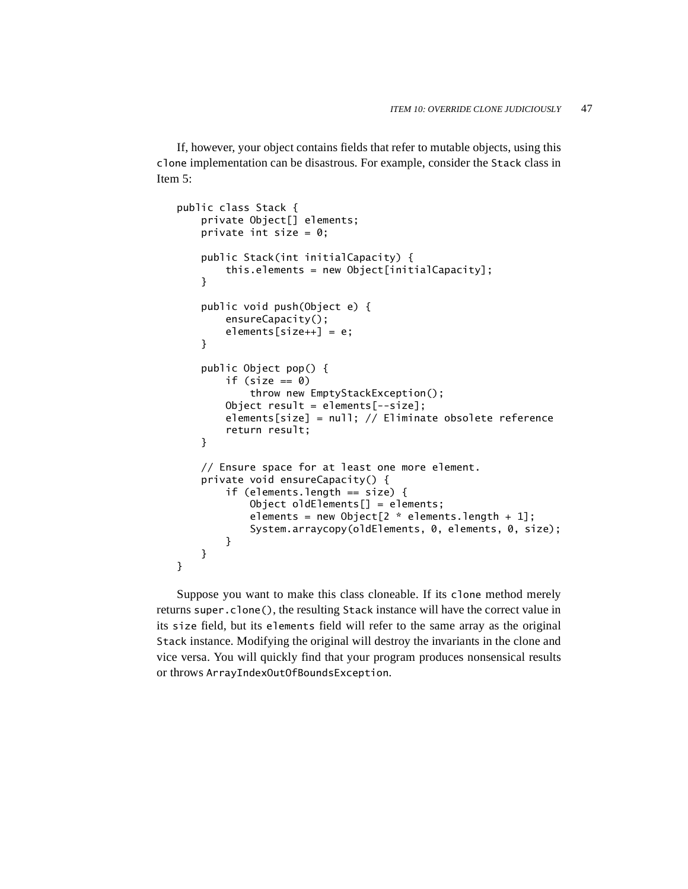If, however, your object contains fields that refer to mutable objects, using this clone implementation can be disastrous. For example, consider the Stack class in Item 5:

```
public class Stack {
    private Object[] elements;
    private int size = 0;
    public Stack(int initialCapacity) {
        this.elements = new Object[initialCapacity];
    }
    public void push(Object e) {
        ensureCapacity();
        elements[size++] = e;
    }
    public Object pop() {
        if (size == 0)
            throw new EmptyStackException();
        Object result = elements[- - \text{size}];elements[size] = null; // Eliminate obsolete reference
        return result;
    }
    // Ensure space for at least one more element.
    private void ensureCapacity() {
        if (elements.length == size) {
            Object oldElements[] = elements;
            elements = new Object<sup>[2 *</sup> elements.length + 1];
            System.arraycopy(oldElements, 0, elements, 0, size);
        }
    }
}
```
Suppose you want to make this class cloneable. If its clone method merely returns super.clone(), the resulting Stack instance will have the correct value in its size field, but its elements field will refer to the same array as the original Stack instance. Modifying the original will destroy the invariants in the clone and vice versa. You will quickly find that your program produces nonsensical results or throws ArrayIndexOutOfBoundsException.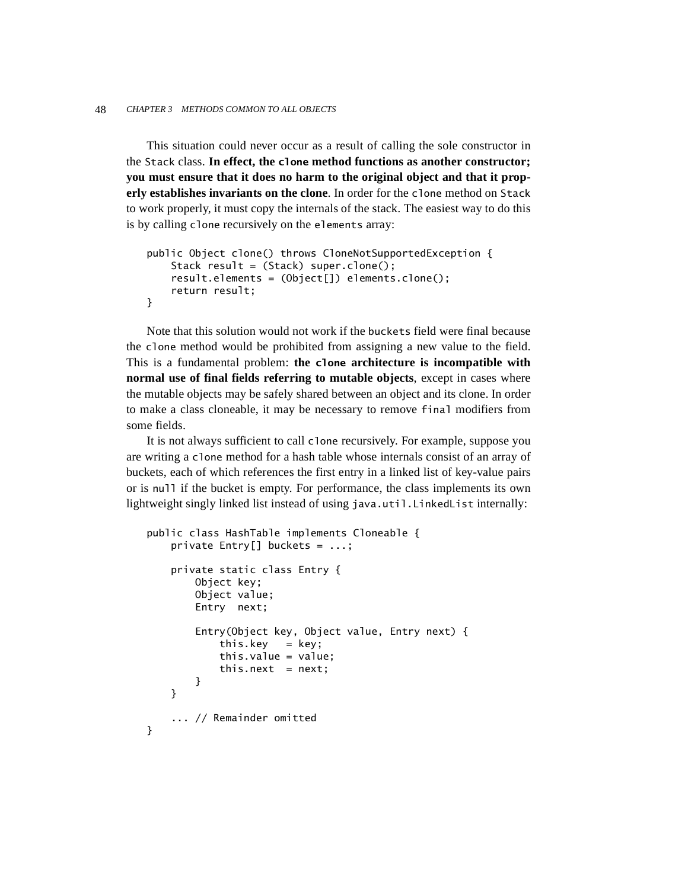This situation could never occur as a result of calling the sole constructor in the Stack class. **In effect, the clone method functions as another constructor; you must ensure that it does no harm to the original object and that it properly establishes invariants on the clone**. In order for the clone method on Stack to work properly, it must copy the internals of the stack. The easiest way to do this is by calling clone recursively on the elements array:

```
public Object clone() throws CloneNotSupportedException {
    Stack result = (Stack) super.close();
    result.elements = (Object[]) elements.clone();
    return result;
}
```
Note that this solution would not work if the buckets field were final because the clone method would be prohibited from assigning a new value to the field. This is a fundamental problem: **the clone architecture is incompatible with normal use of final fields referring to mutable objects**, except in cases where the mutable objects may be safely shared between an object and its clone. In order to make a class cloneable, it may be necessary to remove final modifiers from some fields.

It is not always sufficient to call clone recursively. For example, suppose you are writing a clone method for a hash table whose internals consist of an array of buckets, each of which references the first entry in a linked list of key-value pairs or is null if the bucket is empty. For performance, the class implements its own lightweight singly linked list instead of using java.util.LinkedList internally:

```
public class HashTable implements Cloneable {
    private Entry[] buckets = ...;
    private static class Entry {
        Object key;
        Object value;
        Entry next;
        Entry(Object key, Object value, Entry next) {
            this.key = key;
            this.value = value;
            this.next = next;
        }
    }
   ... // Remainder omitted
}
```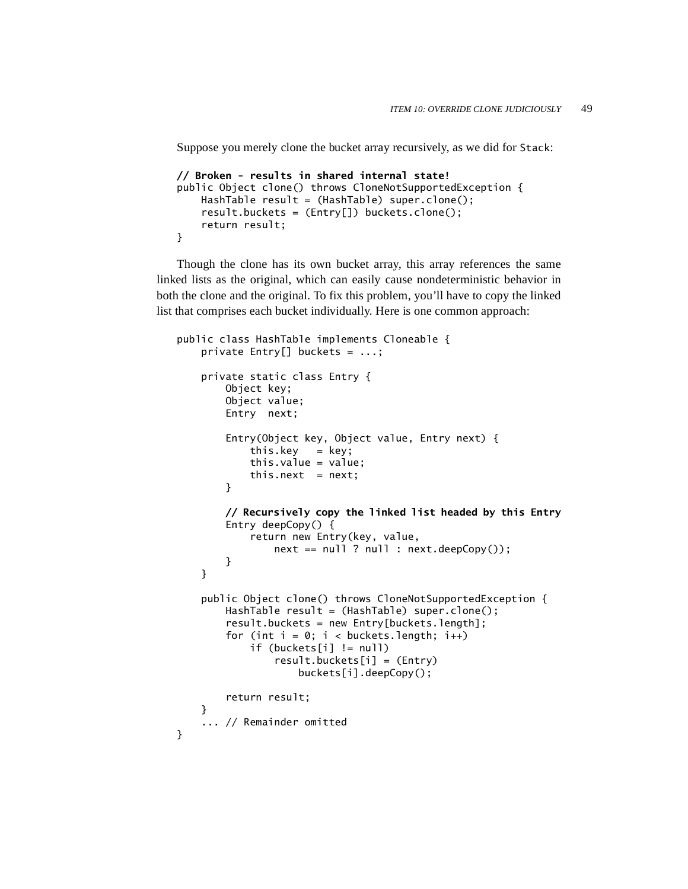Suppose you merely clone the bucket array recursively, as we did for Stack:

```
// Broken - results in shared internal state!
public Object clone() throws CloneNotSupportedException {
    HashTable result = (HashTable) super.clone();
    result.buckets = (Entry[]) buckets.clone():return result;
}
```
Though the clone has its own bucket array, this array references the same linked lists as the original, which can easily cause nondeterministic behavior in both the clone and the original. To fix this problem, you'll have to copy the linked list that comprises each bucket individually. Here is one common approach:

```
public class HashTable implements Cloneable {
    private Entry[] buckets = ...;private static class Entry {
        Object key;
        Object value;
        Entry next;
        Entry(Object key, Object value, Entry next) {
            this.key = key;
            this.value = value;
            this.next = next;
        }
        // Recursively copy the linked list headed by this Entry
        Entry deepCopy() {
            return new Entry(key, value,
                next == null ? null : next.deepCopy());
        }
    } 
    public Object clone() throws CloneNotSupportedException {
        HashTable result = (HashTable) super.clone();
        result.buckets = new Entry[buckets.length];
        for (int i = 0; i < buckets.length; i++)if (buckets[i] != null)
                result.buckets[i] = (Entry)buckets[i].deepCopy();
        return result;
    }
     ... // Remainder omitted
}
```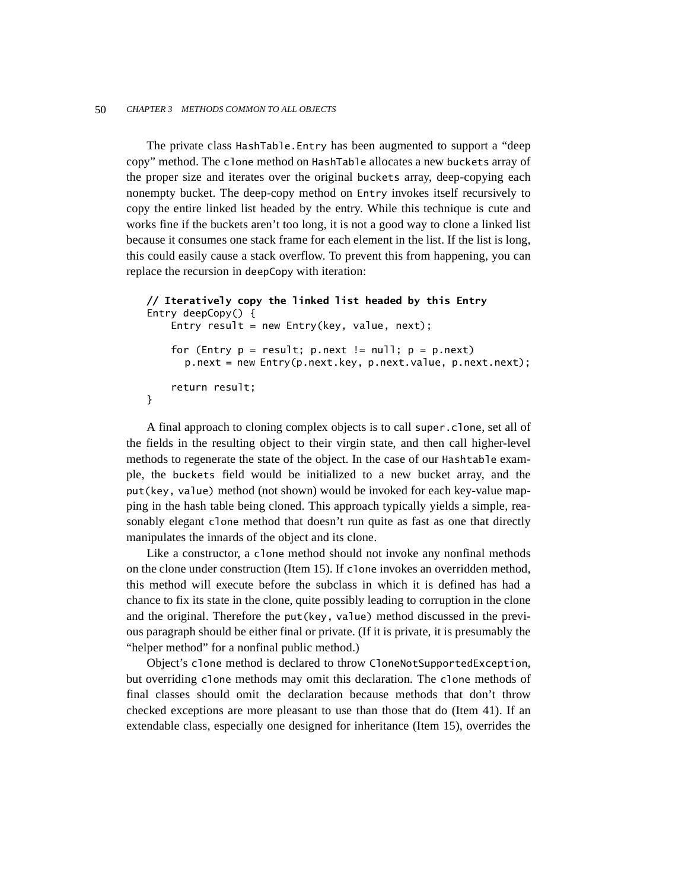The private class HashTable.Entry has been augmented to support a "deep copy" method. The clone method on HashTable allocates a new buckets array of the proper size and iterates over the original buckets array, deep-copying each nonempty bucket. The deep-copy method on Entry invokes itself recursively to copy the entire linked list headed by the entry. While this technique is cute and works fine if the buckets aren't too long, it is not a good way to clone a linked list because it consumes one stack frame for each element in the list. If the list is long, this could easily cause a stack overflow. To prevent this from happening, you can replace the recursion in deepCopy with iteration:

```
// Iteratively copy the linked list headed by this Entry
Entry deepCopy() {
    Entry result = new Entry(key, value, next);
    for (Entry p = result; p.next != null; p = p.next)
       p.next = new Entry(p.next.key, p.next.value, p.next.next);
     return result;
}
```
A final approach to cloning complex objects is to call super.clone, set all of the fields in the resulting object to their virgin state, and then call higher-level methods to regenerate the state of the object. In the case of our Hashtable example, the buckets field would be initialized to a new bucket array, and the put(key, value) method (not shown) would be invoked for each key-value mapping in the hash table being cloned. This approach typically yields a simple, reasonably elegant clone method that doesn't run quite as fast as one that directly manipulates the innards of the object and its clone.

Like a constructor, a clone method should not invoke any nonfinal methods on the clone under construction (Item 15). If clone invokes an overridden method, this method will execute before the subclass in which it is defined has had a chance to fix its state in the clone, quite possibly leading to corruption in the clone and the original. Therefore the put(key, value) method discussed in the previous paragraph should be either final or private. (If it is private, it is presumably the "helper method" for a nonfinal public method.)

Object's clone method is declared to throw CloneNotSupportedException, but overriding clone methods may omit this declaration. The clone methods of final classes should omit the declaration because methods that don't throw checked exceptions are more pleasant to use than those that do (Item 41). If an extendable class, especially one designed for inheritance (Item 15), overrides the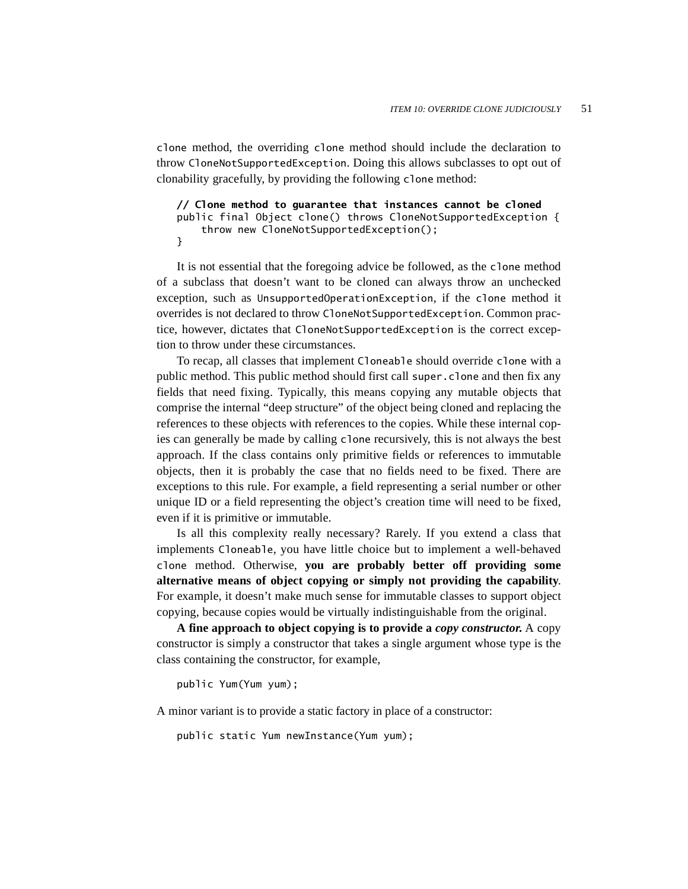clone method, the overriding clone method should include the declaration to throw CloneNotSupportedException. Doing this allows subclasses to opt out of clonability gracefully, by providing the following clone method:

```
// Clone method to guarantee that instances cannot be cloned
public final Object clone() throws CloneNotSupportedException {
    throw new CloneNotSupportedException();
}
```
It is not essential that the foregoing advice be followed, as the clone method of a subclass that doesn't want to be cloned can always throw an unchecked exception, such as UnsupportedOperationException, if the clone method it overrides is not declared to throw CloneNotSupportedException. Common practice, however, dictates that CloneNotSupportedException is the correct exception to throw under these circumstances.

To recap, all classes that implement Cloneable should override clone with a public method. This public method should first call super.clone and then fix any fields that need fixing. Typically, this means copying any mutable objects that comprise the internal "deep structure" of the object being cloned and replacing the references to these objects with references to the copies. While these internal copies can generally be made by calling clone recursively, this is not always the best approach. If the class contains only primitive fields or references to immutable objects, then it is probably the case that no fields need to be fixed. There are exceptions to this rule. For example, a field representing a serial number or other unique ID or a field representing the object's creation time will need to be fixed, even if it is primitive or immutable.

Is all this complexity really necessary? Rarely. If you extend a class that implements Cloneable, you have little choice but to implement a well-behaved clone method. Otherwise, **you are probably better off providing some alternative means of object copying or simply not providing the capability**. For example, it doesn't make much sense for immutable classes to support object copying, because copies would be virtually indistinguishable from the original.

**A fine approach to object copying is to provide a** *copy constructor***.** A copy constructor is simply a constructor that takes a single argument whose type is the class containing the constructor, for example,

```
public Yum(Yum yum);
```
A minor variant is to provide a static factory in place of a constructor:

```
public static Yum newInstance(Yum yum);
```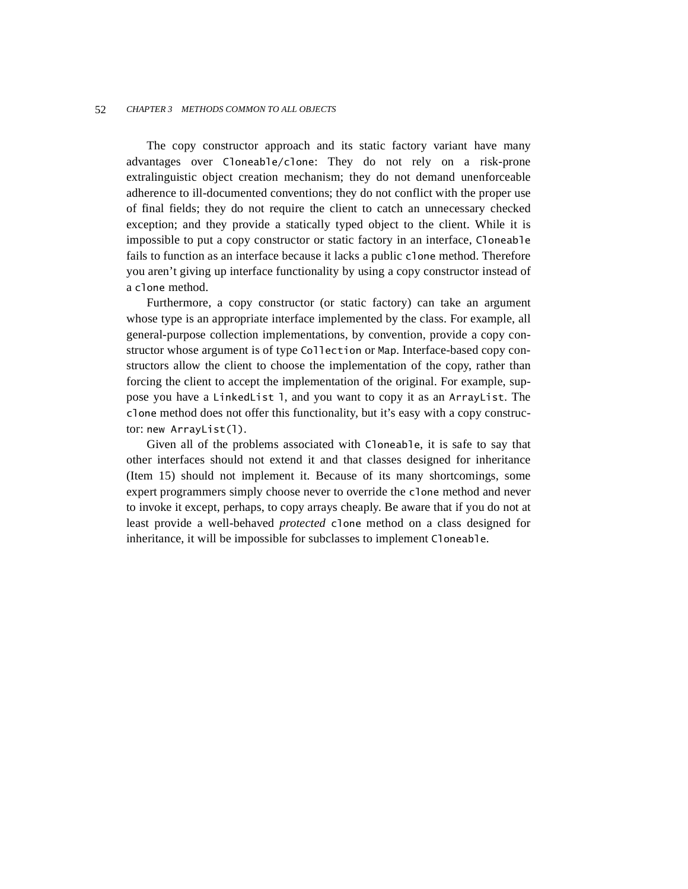The copy constructor approach and its static factory variant have many advantages over Cloneable/clone: They do not rely on a risk-prone extralinguistic object creation mechanism; they do not demand unenforceable adherence to ill-documented conventions; they do not conflict with the proper use of final fields; they do not require the client to catch an unnecessary checked exception; and they provide a statically typed object to the client. While it is impossible to put a copy constructor or static factory in an interface, Cloneable fails to function as an interface because it lacks a public clone method. Therefore you aren't giving up interface functionality by using a copy constructor instead of a clone method.

Furthermore, a copy constructor (or static factory) can take an argument whose type is an appropriate interface implemented by the class. For example, all general-purpose collection implementations, by convention, provide a copy constructor whose argument is of type Collection or Map. Interface-based copy constructors allow the client to choose the implementation of the copy, rather than forcing the client to accept the implementation of the original. For example, suppose you have a LinkedList l, and you want to copy it as an ArrayList. The clone method does not offer this functionality, but it's easy with a copy constructor: new ArrayList(l).

Given all of the problems associated with Cloneable, it is safe to say that other interfaces should not extend it and that classes designed for inheritance (Item 15) should not implement it. Because of its many shortcomings, some expert programmers simply choose never to override the clone method and never to invoke it except, perhaps, to copy arrays cheaply. Be aware that if you do not at least provide a well-behaved *protected* clone method on a class designed for inheritance, it will be impossible for subclasses to implement Cloneable.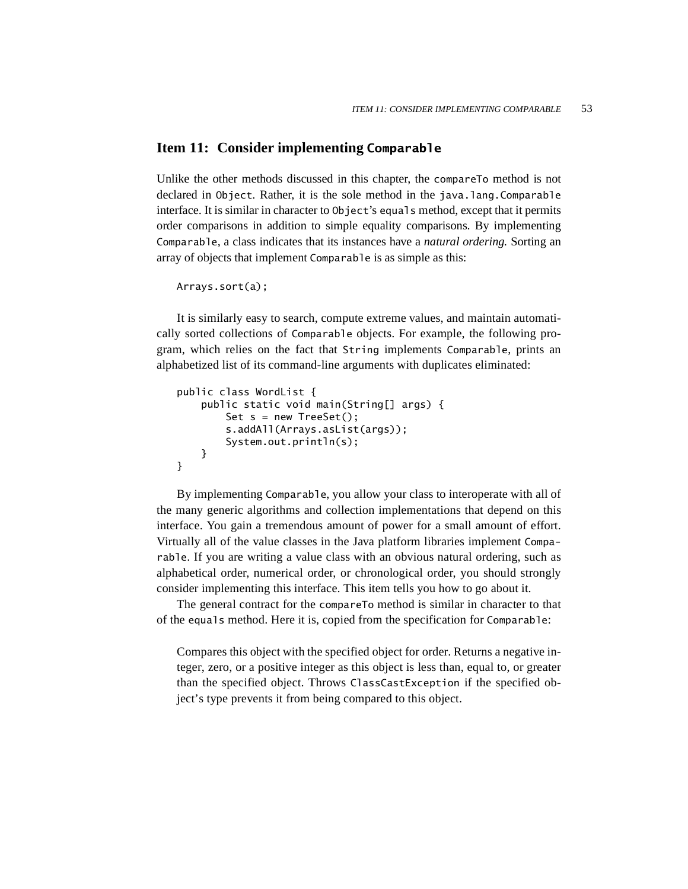#### **Item 11: Consider implementing Comparable**

Unlike the other methods discussed in this chapter, the compareTo method is not declared in Object. Rather, it is the sole method in the java.lang.Comparable interface. It is similar in character to Object's equals method, except that it permits order comparisons in addition to simple equality comparisons. By implementing Comparable, a class indicates that its instances have a *natural ordering.* Sorting an array of objects that implement Comparable is as simple as this:

```
Arrays.sort(a);
```
It is similarly easy to search, compute extreme values, and maintain automatically sorted collections of Comparable objects. For example, the following program, which relies on the fact that String implements Comparable, prints an alphabetized list of its command-line arguments with duplicates eliminated:

```
public class WordList {
    public static void main(String[] args) {
        Set s = new TreeSet():
        s.addAll(Arrays.asList(args));
        System.out.println(s);
    }
}
```
By implementing Comparable, you allow your class to interoperate with all of the many generic algorithms and collection implementations that depend on this interface. You gain a tremendous amount of power for a small amount of effort. Virtually all of the value classes in the Java platform libraries implement Comparable. If you are writing a value class with an obvious natural ordering, such as alphabetical order, numerical order, or chronological order, you should strongly consider implementing this interface. This item tells you how to go about it.

The general contract for the compareTo method is similar in character to that of the equals method. Here it is, copied from the specification for Comparable:

Compares this object with the specified object for order. Returns a negative integer, zero, or a positive integer as this object is less than, equal to, or greater than the specified object. Throws ClassCastException if the specified object's type prevents it from being compared to this object.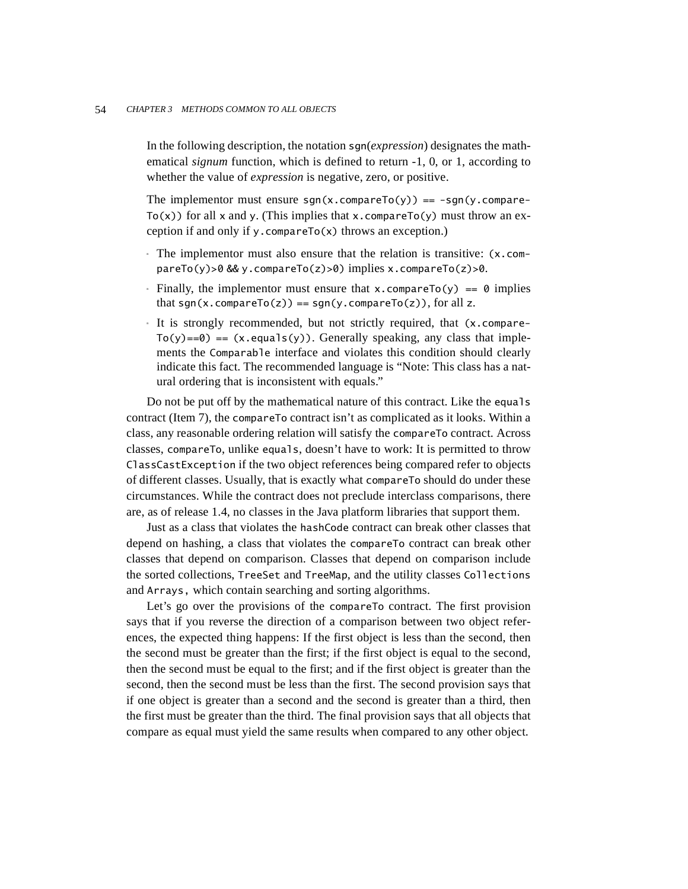In the following description, the notation sgn(*expression*) designates the mathematical *signum* function, which is defined to return -1, 0, or 1, according to whether the value of *expression* is negative, zero, or positive.

The implementor must ensure  $sgn(x \text{ .compareTo}(y)) == -sgn(y \text{ .compare} To(x)$  for all x and y. (This implies that x.compareTo(y) must throw an exception if and only if  $y$ . compareTo $(x)$  throws an exception.)

- n The implementor must also ensure that the relation is transitive:  $(x \cdot \text{com-}$ pareTo(y)>0 && y.compareTo(z)>0) implies x.compareTo(z)>0.
- Finally, the implementor must ensure that  $x$ . compareTo(y) == 0 implies that sgn(x.compareTo(z)) ==  $sgn(y.\text{compareTo}(z))$ , for all z.
- It is strongly recommended, but not strictly required, that (x.compare- $To(y) == 0) == (x.equals(y))$ . Generally speaking, any class that implements the Comparable interface and violates this condition should clearly indicate this fact. The recommended language is "Note: This class has a natural ordering that is inconsistent with equals."

Do not be put off by the mathematical nature of this contract. Like the equals contract [\(Item 7](#page-0-0)), the compareTo contract isn't as complicated as it looks. Within a class, any reasonable ordering relation will satisfy the compareTo contract. Across classes, compareTo, unlike equals, doesn't have to work: It is permitted to throw ClassCastException if the two object references being compared refer to objects of different classes. Usually, that is exactly what compareTo should do under these circumstances. While the contract does not preclude interclass comparisons, there are, as of release 1.4, no classes in the Java platform libraries that support them.

Just as a class that violates the hashCode contract can break other classes that depend on hashing, a class that violates the compareTo contract can break other classes that depend on comparison. Classes that depend on comparison include the sorted collections, TreeSet and TreeMap, and the utility classes Collections and Arrays, which contain searching and sorting algorithms.

Let's go over the provisions of the compareTo contract. The first provision says that if you reverse the direction of a comparison between two object references, the expected thing happens: If the first object is less than the second, then the second must be greater than the first; if the first object is equal to the second, then the second must be equal to the first; and if the first object is greater than the second, then the second must be less than the first. The second provision says that if one object is greater than a second and the second is greater than a third, then the first must be greater than the third. The final provision says that all objects that compare as equal must yield the same results when compared to any other object.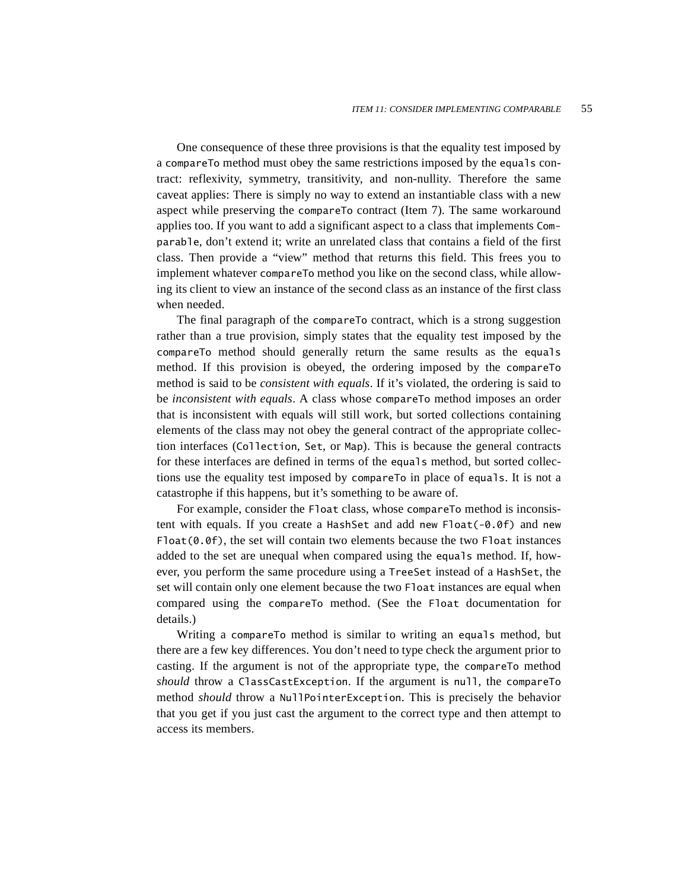One consequence of these three provisions is that the equality test imposed by a compareTo method must obey the same restrictions imposed by the equals contract: reflexivity, symmetry, transitivity, and non-nullity. Therefore the same caveat applies: There is simply no way to extend an instantiable class with a new aspect while preserving the compareTo contract [\(Item 7\)](#page-0-0). The same workaround applies too. If you want to add a significant aspect to a class that implements Comparable, don't extend it; write an unrelated class that contains a field of the first class. Then provide a "view" method that returns this field. This frees you to implement whatever compareTo method you like on the second class, while allowing its client to view an instance of the second class as an instance of the first class when needed.

The final paragraph of the compareTo contract, which is a strong suggestion rather than a true provision, simply states that the equality test imposed by the compareTo method should generally return the same results as the equals method. If this provision is obeyed, the ordering imposed by the compareTo method is said to be *consistent with equals*. If it's violated, the ordering is said to be *inconsistent with equals*. A class whose compareTo method imposes an order that is inconsistent with equals will still work, but sorted collections containing elements of the class may not obey the general contract of the appropriate collection interfaces (Collection, Set, or Map). This is because the general contracts for these interfaces are defined in terms of the equals method, but sorted collections use the equality test imposed by compareTo in place of equals. It is not a catastrophe if this happens, but it's something to be aware of.

For example, consider the Float class, whose compareTo method is inconsistent with equals. If you create a HashSet and add new Float(-0.0f) and new  $F$ loat( $0.0f$ ), the set will contain two elements because the two Float instances added to the set are unequal when compared using the equals method. If, however, you perform the same procedure using a TreeSet instead of a HashSet, the set will contain only one element because the two Float instances are equal when compared using the compareTo method. (See the Float documentation for details.)

Writing a compareTo method is similar to writing an equals method, but there are a few key differences. You don't need to type check the argument prior to casting. If the argument is not of the appropriate type, the compareTo method *should* throw a ClassCastException. If the argument is null, the compareTo method *should* throw a NullPointerException. This is precisely the behavior that you get if you just cast the argument to the correct type and then attempt to access its members.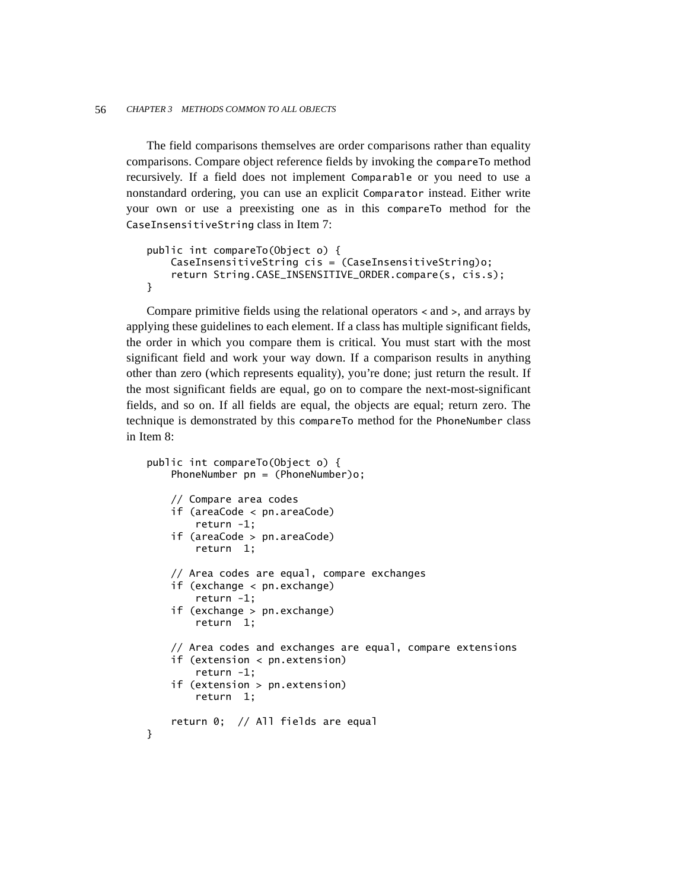The field comparisons themselves are order comparisons rather than equality comparisons. Compare object reference fields by invoking the compareTo method recursively. If a field does not implement Comparable or you need to use a nonstandard ordering, you can use an explicit Comparator instead. Either write your own or use a preexisting one as in this compareTo method for the CaseInsensitiveString class in [Item 7:](#page-0-0)

```
public int compareTo(Object o) {
    CaseInsensitiveString cis = (CaseInsensitiveString)o;
    return String.CASE_INSENSITIVE_ORDER.compare(s, cis.s);
}
```
Compare primitive fields using the relational operators < and >, and arrays by applying these guidelines to each element. If a class has multiple significant fields, the order in which you compare them is critical. You must start with the most significant field and work your way down. If a comparison results in anything other than zero (which represents equality), you're done; just return the result. If the most significant fields are equal, go on to compare the next-most-significant fields, and so on. If all fields are equal, the objects are equal; return zero. The technique is demonstrated by this compareTo method for the PhoneNumber class in [Item 8](#page-11-0):

```
public int compareTo(Object o) {
    PhoneNumber pn = (PhoneNumber)o;// Compare area codes
    if (areaCode < pn.areaCode)
        return -1;
    if (areaCode > pn.areaCode)
        return 1;
    // Area codes are equal, compare exchanges
    if (exchange < pn.exchange)
        return -1;
    if (exchange > pn.exchange)
        return 1;
    // Area codes and exchanges are equal, compare extensions
    if (extension < pn.extension)
        return -1;
    if (extension > pn.extension)
        return 1;
    return 0; // All fields are equal
}
```